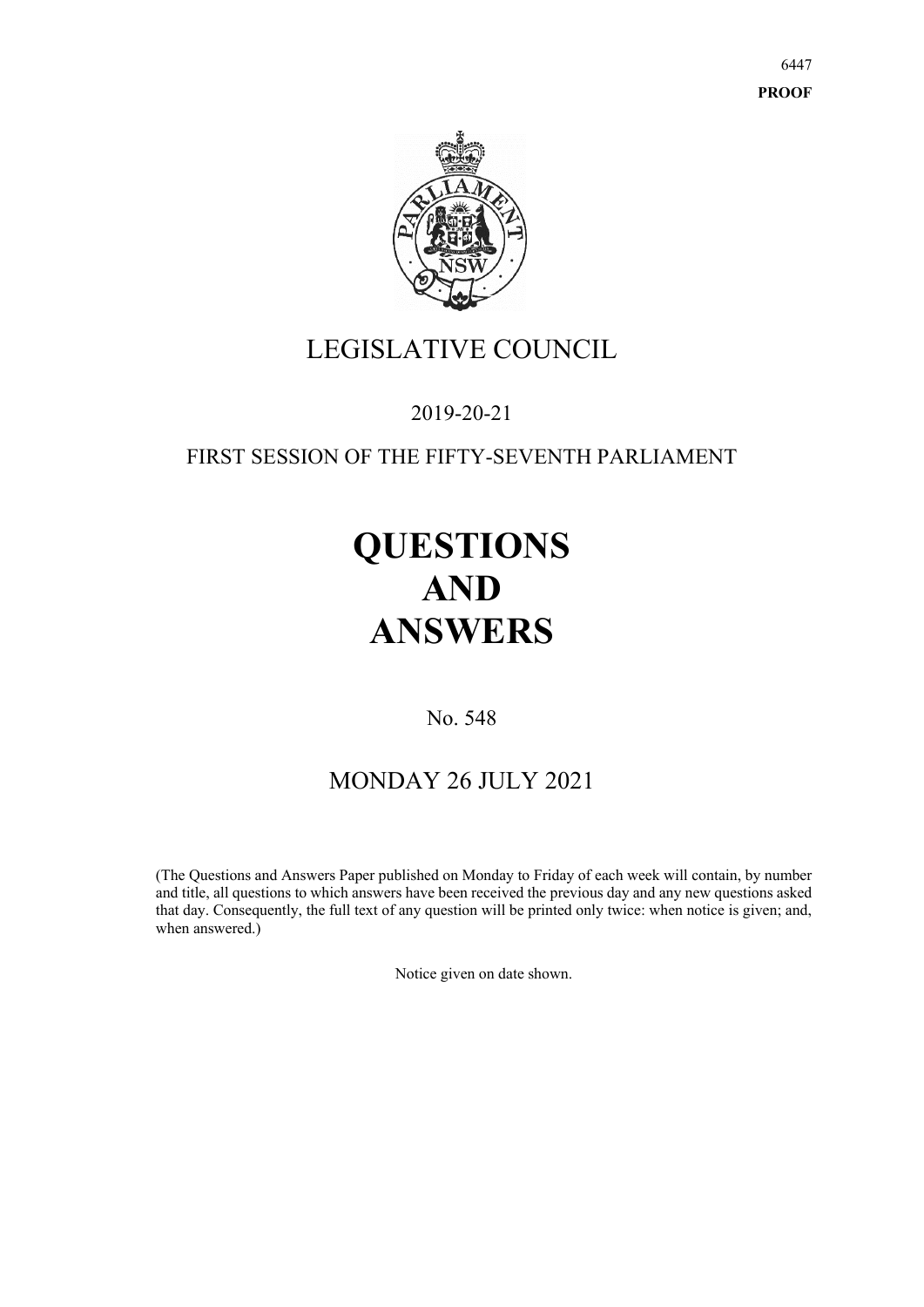6447 **PROOF**



# LEGISLATIVE COUNCIL

## 2019-20-21

### FIRST SESSION OF THE FIFTY-SEVENTH PARLIAMENT

# **QUESTIONS AND ANSWERS**

No. 548

## MONDAY 26 JULY 2021

(The Questions and Answers Paper published on Monday to Friday of each week will contain, by number and title, all questions to which answers have been received the previous day and any new questions asked that day. Consequently, the full text of any question will be printed only twice: when notice is given; and, when answered.)

Notice given on date shown.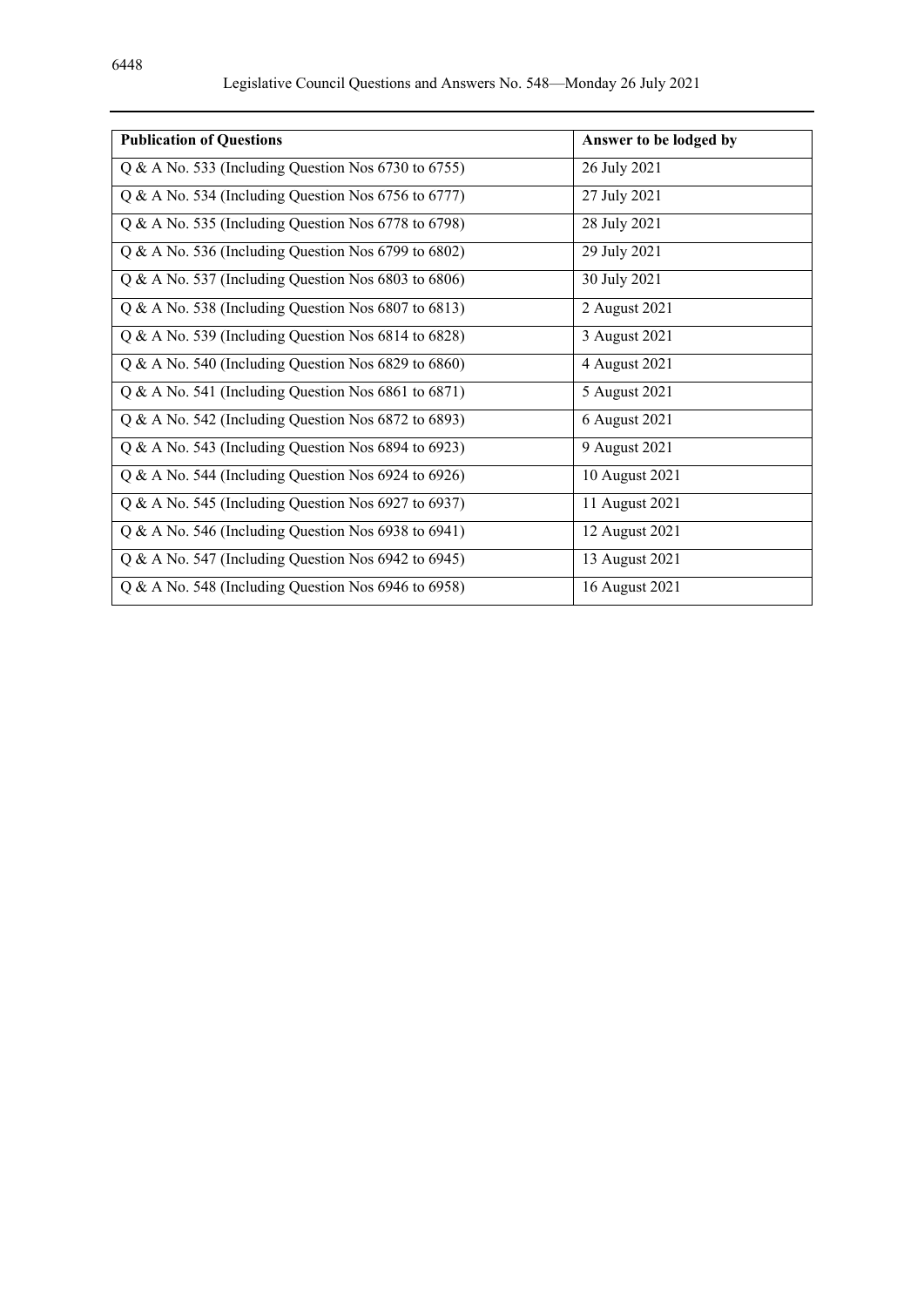| <b>Publication of Questions</b>                       | Answer to be lodged by |
|-------------------------------------------------------|------------------------|
| $Q & A$ No. 533 (Including Question Nos 6730 to 6755) | 26 July 2021           |
| $Q & A$ No. 534 (Including Question Nos 6756 to 6777) | 27 July 2021           |
| Q & A No. 535 (Including Question Nos 6778 to 6798)   | 28 July 2021           |
| Q & A No. 536 (Including Question Nos 6799 to 6802)   | 29 July 2021           |
| $Q & A$ No. 537 (Including Question Nos 6803 to 6806) | 30 July 2021           |
| $Q & A$ No. 538 (Including Question Nos 6807 to 6813) | 2 August 2021          |
| $Q & A$ No. 539 (Including Question Nos 6814 to 6828) | 3 August 2021          |
| $Q & A$ No. 540 (Including Question Nos 6829 to 6860) | 4 August 2021          |
| $Q & A$ No. 541 (Including Question Nos 6861 to 6871) | 5 August 2021          |
| Q & A No. 542 (Including Question Nos 6872 to 6893)   | 6 August 2021          |
| $Q & A$ No. 543 (Including Question Nos 6894 to 6923) | 9 August 2021          |
| $Q & A$ No. 544 (Including Question Nos 6924 to 6926) | 10 August 2021         |
| Q & A No. 545 (Including Question Nos 6927 to 6937)   | 11 August 2021         |
| Q & A No. 546 (Including Question Nos 6938 to 6941)   | 12 August 2021         |
| $Q & A$ No. 547 (Including Question Nos 6942 to 6945) | 13 August 2021         |
| Q & A No. 548 (Including Question Nos 6946 to 6958)   | 16 August 2021         |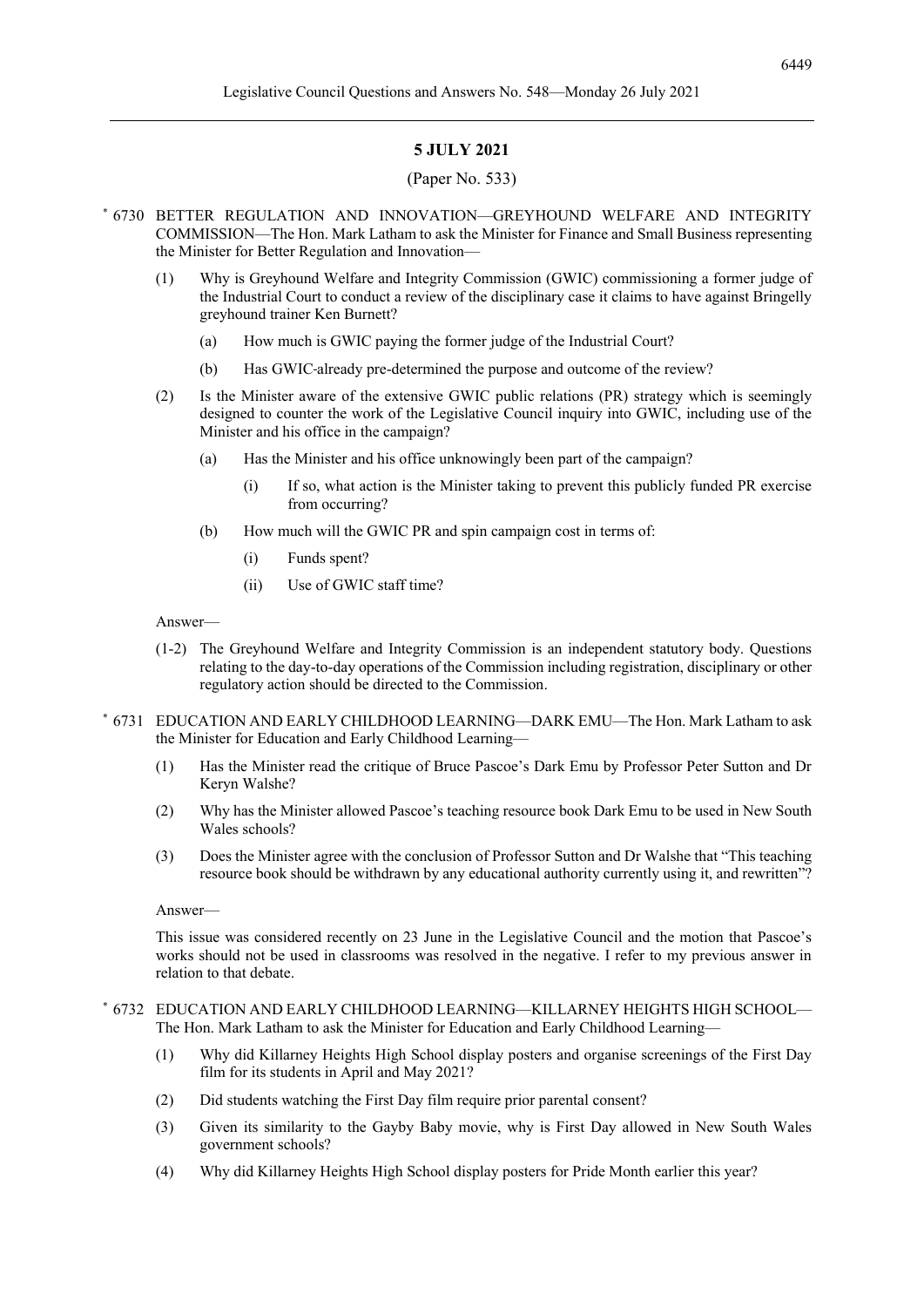#### **5 JULY 2021**

#### (Paper No. 533)

- \* 6730 BETTER REGULATION AND INNOVATION—GREYHOUND WELFARE AND INTEGRITY COMMISSION—The Hon. Mark Latham to ask the Minister for Finance and Small Business representing the Minister for Better Regulation and Innovation—
	- (1) Why is Greyhound Welfare and Integrity Commission (GWIC) commissioning a former judge of the Industrial Court to conduct a review of the disciplinary case it claims to have against Bringelly greyhound trainer Ken Burnett?
		- (a) How much is GWIC paying the former judge of the Industrial Court?
		- (b) Has GWIC already pre-determined the purpose and outcome of the review?
	- (2) Is the Minister aware of the extensive GWIC public relations (PR) strategy which is seemingly designed to counter the work of the Legislative Council inquiry into GWIC, including use of the Minister and his office in the campaign?
		- (a) Has the Minister and his office unknowingly been part of the campaign?
			- (i) If so, what action is the Minister taking to prevent this publicly funded PR exercise from occurring?
		- (b) How much will the GWIC PR and spin campaign cost in terms of:
			- (i) Funds spent?
			- (ii) Use of GWIC staff time?

Answer—

- (1-2) The Greyhound Welfare and Integrity Commission is an independent statutory body. Questions relating to the day-to-day operations of the Commission including registration, disciplinary or other regulatory action should be directed to the Commission.
- \* 6731 EDUCATION AND EARLY CHILDHOOD LEARNING—DARK EMU—The Hon. Mark Latham to ask the Minister for Education and Early Childhood Learning—
	- (1) Has the Minister read the critique of Bruce Pascoe's Dark Emu by Professor Peter Sutton and Dr Keryn Walshe?
	- (2) Why has the Minister allowed Pascoe's teaching resource book Dark Emu to be used in New South Wales schools?
	- (3) Does the Minister agree with the conclusion of Professor Sutton and Dr Walshe that "This teaching resource book should be withdrawn by any educational authority currently using it, and rewritten"?

Answer—

This issue was considered recently on 23 June in the Legislative Council and the motion that Pascoe's works should not be used in classrooms was resolved in the negative. I refer to my previous answer in relation to that debate.

#### \* 6732 EDUCATION AND EARLY CHILDHOOD LEARNING—KILLARNEY HEIGHTS HIGH SCHOOL— The Hon. Mark Latham to ask the Minister for Education and Early Childhood Learning—

- (1) Why did Killarney Heights High School display posters and organise screenings of the First Day film for its students in April and May 2021?
- (2) Did students watching the First Day film require prior parental consent?
- (3) Given its similarity to the Gayby Baby movie, why is First Day allowed in New South Wales government schools?
- (4) Why did Killarney Heights High School display posters for Pride Month earlier this year?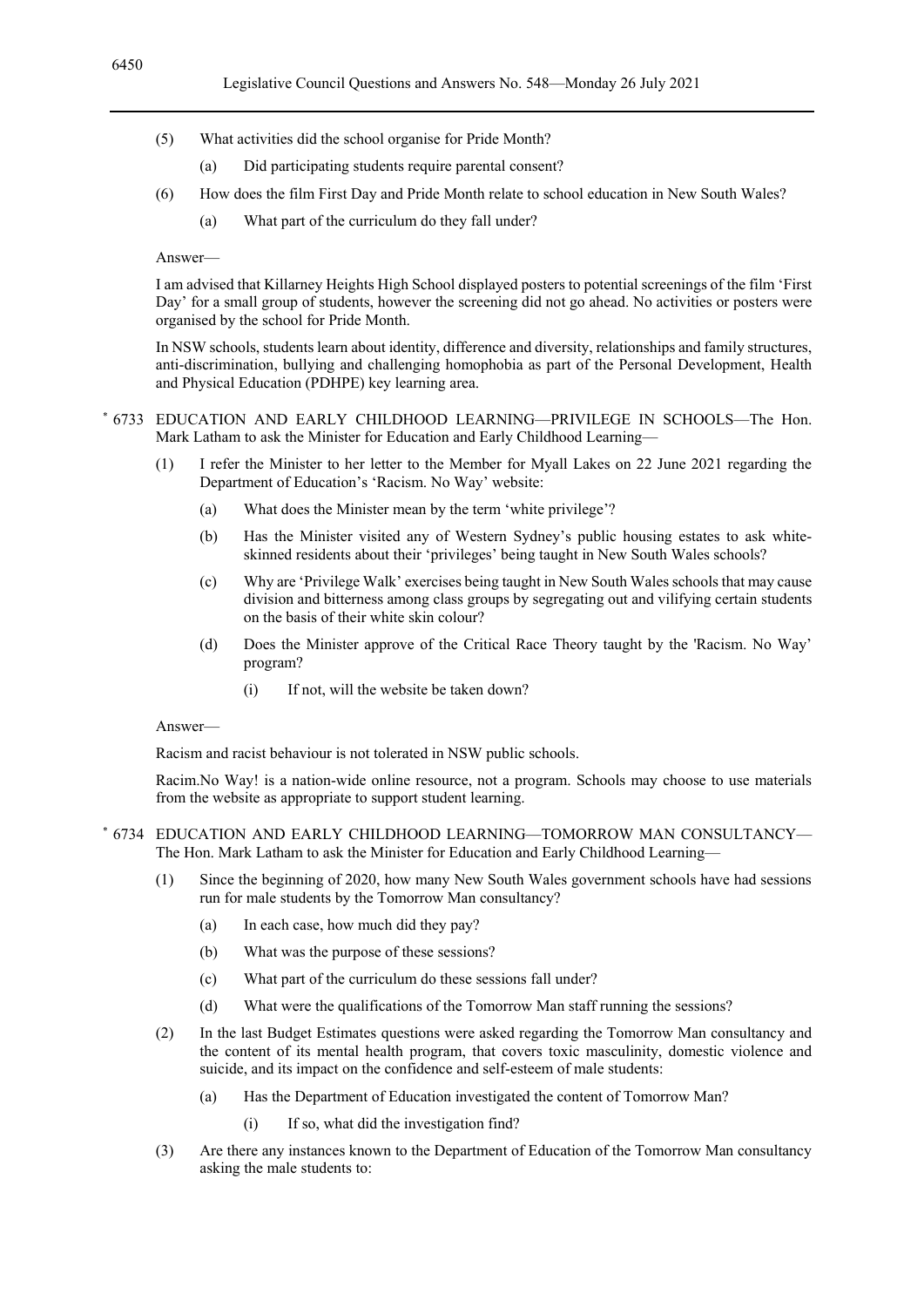- (5) What activities did the school organise for Pride Month?
	- (a) Did participating students require parental consent?
- (6) How does the film First Day and Pride Month relate to school education in New South Wales?
	- (a) What part of the curriculum do they fall under?

I am advised that Killarney Heights High School displayed posters to potential screenings of the film 'First Day' for a small group of students, however the screening did not go ahead. No activities or posters were organised by the school for Pride Month.

In NSW schools, students learn about identity, difference and diversity, relationships and family structures, anti-discrimination, bullying and challenging homophobia as part of the Personal Development, Health and Physical Education (PDHPE) key learning area.

\* 6733 EDUCATION AND EARLY CHILDHOOD LEARNING—PRIVILEGE IN SCHOOLS—The Hon. Mark Latham to ask the Minister for Education and Early Childhood Learning—

- (1) I refer the Minister to her letter to the Member for Myall Lakes on 22 June 2021 regarding the Department of Education's 'Racism. No Way' website:
	- (a) What does the Minister mean by the term 'white privilege'?
	- (b) Has the Minister visited any of Western Sydney's public housing estates to ask whiteskinned residents about their 'privileges' being taught in New South Wales schools?
	- (c) Why are 'Privilege Walk' exercises being taught in New South Wales schools that may cause division and bitterness among class groups by segregating out and vilifying certain students on the basis of their white skin colour?
	- (d) Does the Minister approve of the Critical Race Theory taught by the 'Racism. No Way' program?
		- (i) If not, will the website be taken down?

#### Answer—

Racism and racist behaviour is not tolerated in NSW public schools.

Racim.No Way! is a nation-wide online resource, not a program. Schools may choose to use materials from the website as appropriate to support student learning.

\* 6734 EDUCATION AND EARLY CHILDHOOD LEARNING—TOMORROW MAN CONSULTANCY— The Hon. Mark Latham to ask the Minister for Education and Early Childhood Learning—

- (1) Since the beginning of 2020, how many New South Wales government schools have had sessions run for male students by the Tomorrow Man consultancy?
	- (a) In each case, how much did they pay?
	- (b) What was the purpose of these sessions?
	- (c) What part of the curriculum do these sessions fall under?
	- (d) What were the qualifications of the Tomorrow Man staff running the sessions?
- (2) In the last Budget Estimates questions were asked regarding the Tomorrow Man consultancy and the content of its mental health program, that covers toxic masculinity, domestic violence and suicide, and its impact on the confidence and self-esteem of male students:
	- (a) Has the Department of Education investigated the content of Tomorrow Man?
		- (i) If so, what did the investigation find?
- (3) Are there any instances known to the Department of Education of the Tomorrow Man consultancy asking the male students to: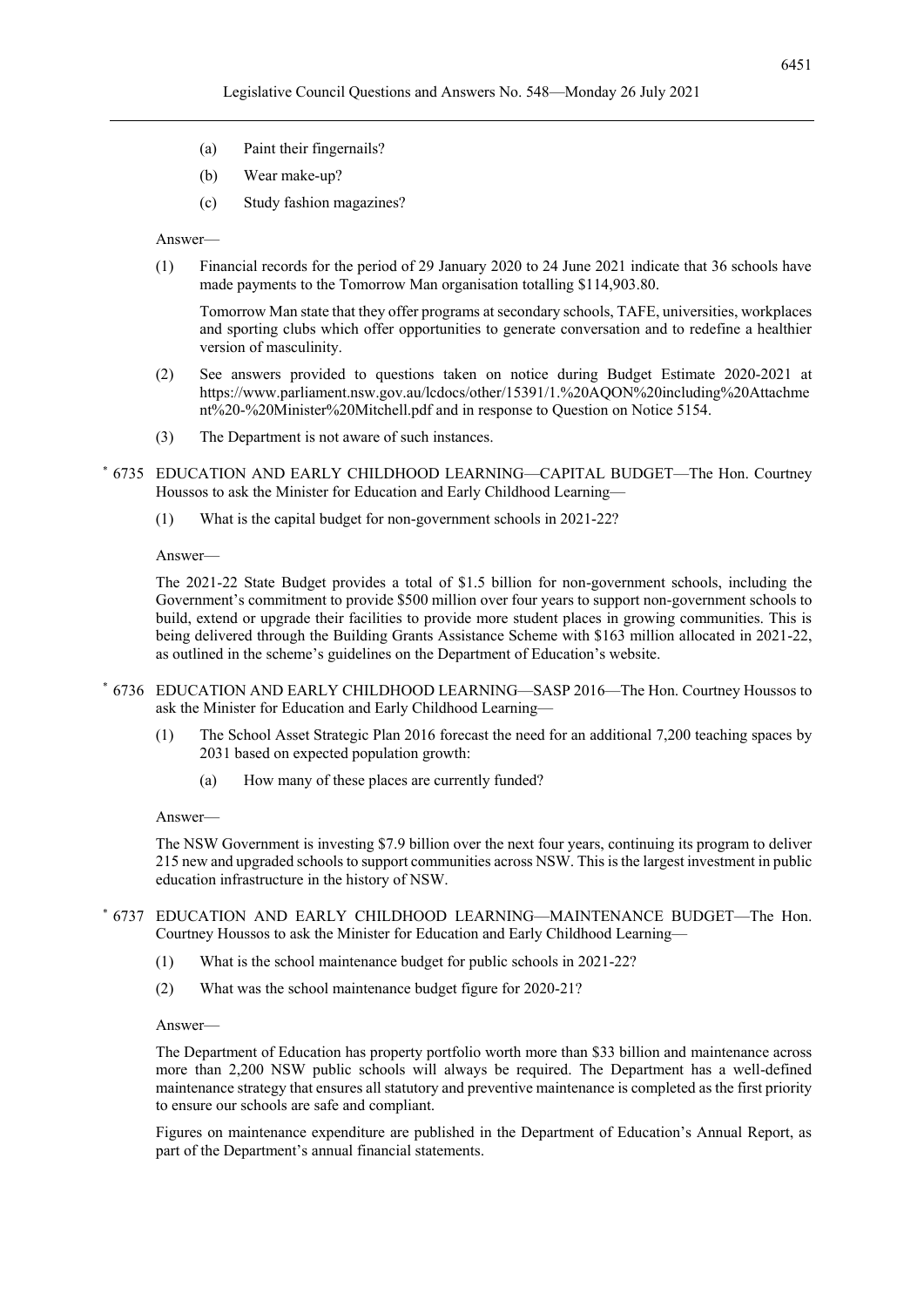- (a) Paint their fingernails?
- (b) Wear make-up?
- (c) Study fashion magazines?

(1) Financial records for the period of 29 January 2020 to 24 June 2021 indicate that 36 schools have made payments to the Tomorrow Man organisation totalling \$114,903.80.

Tomorrow Man state that they offer programs at secondary schools, TAFE, universities, workplaces and sporting clubs which offer opportunities to generate conversation and to redefine a healthier version of masculinity.

- (2) See answers provided to questions taken on notice during Budget Estimate 2020-2021 at https://www.parliament.nsw.gov.au/lcdocs/other/15391/1.%20AQON%20including%20Attachme nt%20-%20Minister%20Mitchell.pdf and in response to Question on Notice 5154.
- (3) The Department is not aware of such instances.
- \* 6735 EDUCATION AND EARLY CHILDHOOD LEARNING—CAPITAL BUDGET—The Hon. Courtney Houssos to ask the Minister for Education and Early Childhood Learning—
	- (1) What is the capital budget for non-government schools in 2021-22?

#### Answer—

The 2021-22 State Budget provides a total of \$1.5 billion for non-government schools, including the Government's commitment to provide \$500 million over four years to support non-government schools to build, extend or upgrade their facilities to provide more student places in growing communities. This is being delivered through the Building Grants Assistance Scheme with \$163 million allocated in 2021-22, as outlined in the scheme's guidelines on the Department of Education's website.

- \* 6736 EDUCATION AND EARLY CHILDHOOD LEARNING—SASP 2016—The Hon. Courtney Houssos to ask the Minister for Education and Early Childhood Learning—
	- (1) The School Asset Strategic Plan 2016 forecast the need for an additional 7,200 teaching spaces by 2031 based on expected population growth:
		- (a) How many of these places are currently funded?

#### Answer—

The NSW Government is investing \$7.9 billion over the next four years, continuing its program to deliver 215 new and upgraded schools to support communities across NSW. This is the largest investment in public education infrastructure in the history of NSW.

- \* 6737 EDUCATION AND EARLY CHILDHOOD LEARNING—MAINTENANCE BUDGET—The Hon. Courtney Houssos to ask the Minister for Education and Early Childhood Learning—
	- (1) What is the school maintenance budget for public schools in 2021-22?
	- (2) What was the school maintenance budget figure for 2020-21?

#### Answer—

The Department of Education has property portfolio worth more than \$33 billion and maintenance across more than 2,200 NSW public schools will always be required. The Department has a well-defined maintenance strategy that ensures all statutory and preventive maintenance is completed as the first priority to ensure our schools are safe and compliant.

Figures on maintenance expenditure are published in the Department of Education's Annual Report, as part of the Department's annual financial statements.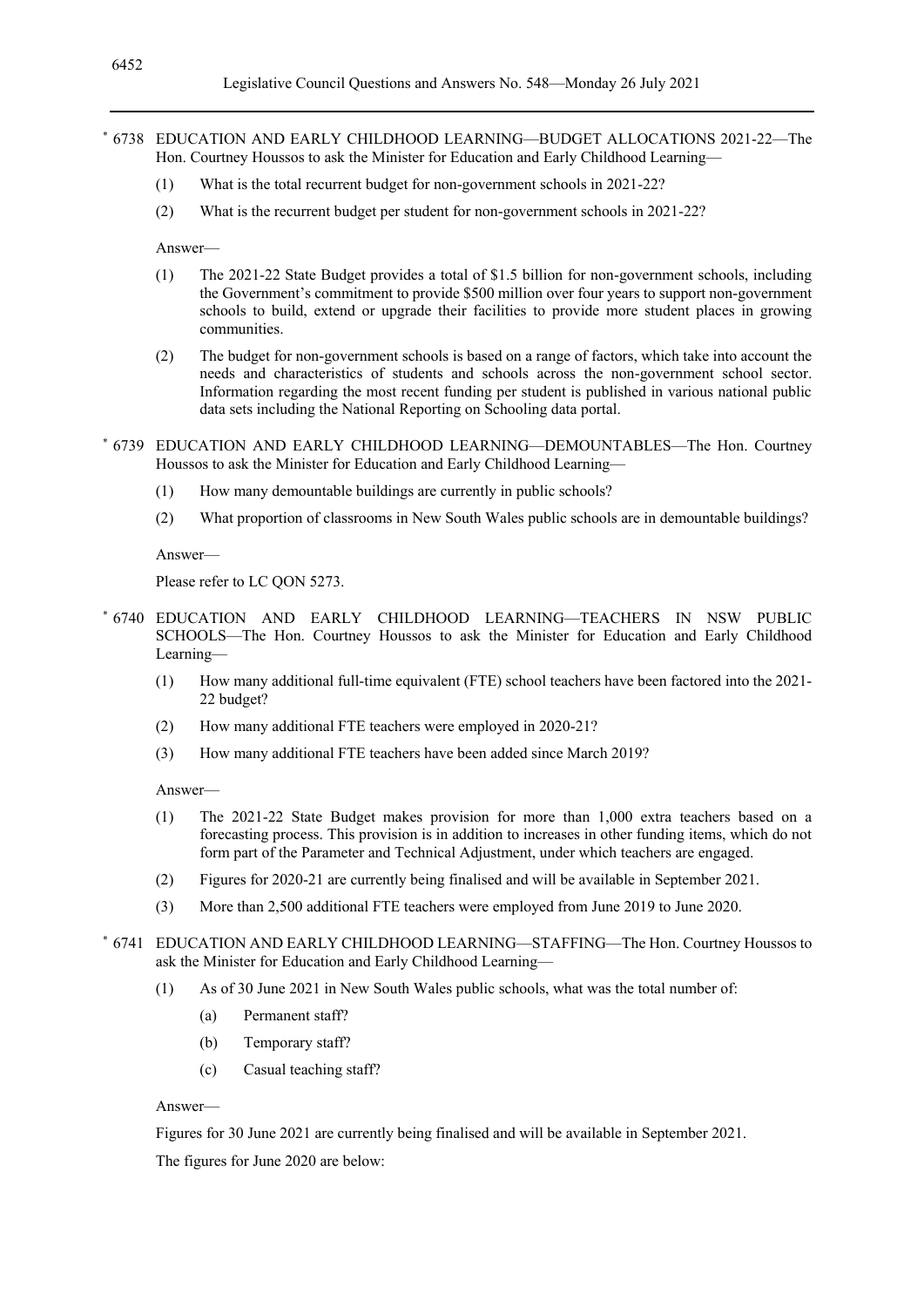- \* 6738 EDUCATION AND EARLY CHILDHOOD LEARNING—BUDGET ALLOCATIONS 2021-22—The Hon. Courtney Houssos to ask the Minister for Education and Early Childhood Learning—
	- (1) What is the total recurrent budget for non-government schools in 2021-22?
	- (2) What is the recurrent budget per student for non-government schools in 2021-22?

- (1) The 2021-22 State Budget provides a total of \$1.5 billion for non-government schools, including the Government's commitment to provide \$500 million over four years to support non-government schools to build, extend or upgrade their facilities to provide more student places in growing communities.
- (2) The budget for non-government schools is based on a range of factors, which take into account the needs and characteristics of students and schools across the non-government school sector. Information regarding the most recent funding per student is published in various national public data sets including the National Reporting on Schooling data portal.
- \* 6739 EDUCATION AND EARLY CHILDHOOD LEARNING—DEMOUNTABLES—The Hon. Courtney Houssos to ask the Minister for Education and Early Childhood Learning—
	- (1) How many demountable buildings are currently in public schools?
	- (2) What proportion of classrooms in New South Wales public schools are in demountable buildings?

Answer—

Please refer to LC QON 5273.

- \* 6740 EDUCATION AND EARLY CHILDHOOD LEARNING—TEACHERS IN NSW PUBLIC SCHOOLS—The Hon. Courtney Houssos to ask the Minister for Education and Early Childhood Learning—
	- (1) How many additional full-time equivalent (FTE) school teachers have been factored into the 2021- 22 budget?
	- (2) How many additional FTE teachers were employed in 2020-21?
	- (3) How many additional FTE teachers have been added since March 2019?

Answer—

- (1) The 2021-22 State Budget makes provision for more than 1,000 extra teachers based on a forecasting process. This provision is in addition to increases in other funding items, which do not form part of the Parameter and Technical Adjustment, under which teachers are engaged.
- (2) Figures for 2020-21 are currently being finalised and will be available in September 2021.
- (3) More than 2,500 additional FTE teachers were employed from June 2019 to June 2020.
- \* 6741 EDUCATION AND EARLY CHILDHOOD LEARNING—STAFFING—The Hon. Courtney Houssos to ask the Minister for Education and Early Childhood Learning—
	- (1) As of 30 June 2021 in New South Wales public schools, what was the total number of:
		- (a) Permanent staff?
		- (b) Temporary staff?
		- (c) Casual teaching staff?

#### Answer—

Figures for 30 June 2021 are currently being finalised and will be available in September 2021.

The figures for June 2020 are below: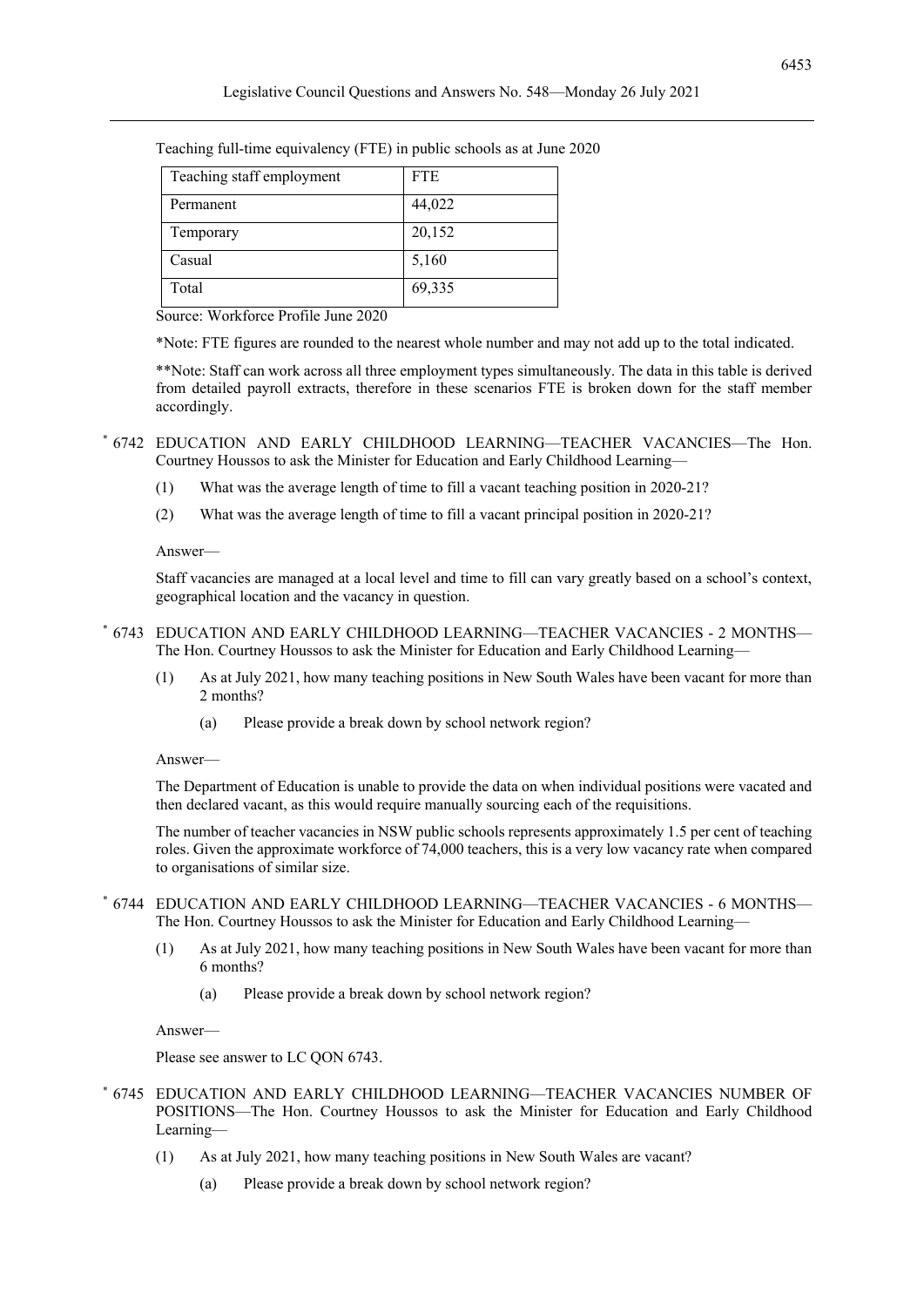| Teaching staff employment | <b>FTE</b> |
|---------------------------|------------|
| Permanent                 | 44,022     |
| Temporary                 | 20,152     |
| Casual                    | 5,160      |
| Total                     | 69,335     |

Teaching full-time equivalency (FTE) in public schools as at June 2020

Source: Workforce Profile June 2020

\*Note: FTE figures are rounded to the nearest whole number and may not add up to the total indicated.

\*\*Note: Staff can work across all three employment types simultaneously. The data in this table is derived from detailed payroll extracts, therefore in these scenarios FTE is broken down for the staff member accordingly.

\* 6742 EDUCATION AND EARLY CHILDHOOD LEARNING—TEACHER VACANCIES—The Hon. Courtney Houssos to ask the Minister for Education and Early Childhood Learning—

- (1) What was the average length of time to fill a vacant teaching position in 2020-21?
- (2) What was the average length of time to fill a vacant principal position in 2020-21?

Answer—

Staff vacancies are managed at a local level and time to fill can vary greatly based on a school's context, geographical location and the vacancy in question.

- \* 6743 EDUCATION AND EARLY CHILDHOOD LEARNING—TEACHER VACANCIES 2 MONTHS— The Hon. Courtney Houssos to ask the Minister for Education and Early Childhood Learning—
	- (1) As at July 2021, how many teaching positions in New South Wales have been vacant for more than 2 months?
		- (a) Please provide a break down by school network region?

Answer—

The Department of Education is unable to provide the data on when individual positions were vacated and then declared vacant, as this would require manually sourcing each of the requisitions.

The number of teacher vacancies in NSW public schools represents approximately 1.5 per cent of teaching roles. Given the approximate workforce of 74,000 teachers, this is a very low vacancy rate when compared to organisations of similar size.

#### \* 6744 EDUCATION AND EARLY CHILDHOOD LEARNING—TEACHER VACANCIES - 6 MONTHS— The Hon. Courtney Houssos to ask the Minister for Education and Early Childhood Learning—

- (1) As at July 2021, how many teaching positions in New South Wales have been vacant for more than 6 months?
	- (a) Please provide a break down by school network region?

Answer—

Please see answer to LC QON 6743.

- \* 6745 EDUCATION AND EARLY CHILDHOOD LEARNING—TEACHER VACANCIES NUMBER OF POSITIONS—The Hon. Courtney Houssos to ask the Minister for Education and Early Childhood Learning—
	- (1) As at July 2021, how many teaching positions in New South Wales are vacant?
		- (a) Please provide a break down by school network region?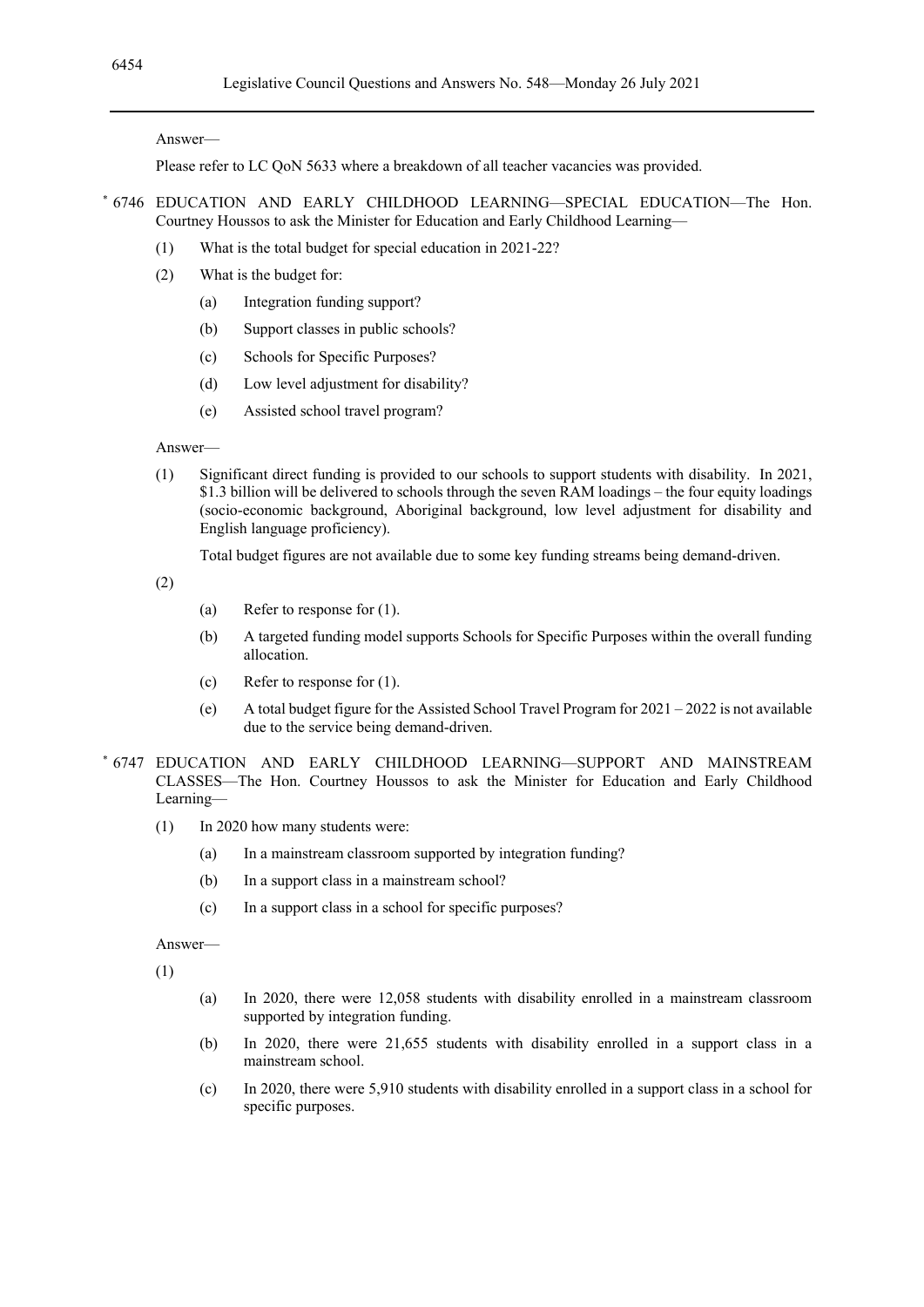Please refer to LC QoN 5633 where a breakdown of all teacher vacancies was provided.

- \* 6746 EDUCATION AND EARLY CHILDHOOD LEARNING—SPECIAL EDUCATION—The Hon. Courtney Houssos to ask the Minister for Education and Early Childhood Learning—
	- (1) What is the total budget for special education in 2021-22?
	- (2) What is the budget for:
		- (a) Integration funding support?
		- (b) Support classes in public schools?
		- (c) Schools for Specific Purposes?
		- (d) Low level adjustment for disability?
		- (e) Assisted school travel program?

Answer—

(1) Significant direct funding is provided to our schools to support students with disability. In 2021, \$1.3 billion will be delivered to schools through the seven RAM loadings – the four equity loadings (socio-economic background, Aboriginal background, low level adjustment for disability and English language proficiency).

Total budget figures are not available due to some key funding streams being demand-driven.

(2)

- (a) Refer to response for (1).
- (b) A targeted funding model supports Schools for Specific Purposes within the overall funding allocation.
- (c) Refer to response for (1).
- (e) A total budget figure for the Assisted School Travel Program for  $2021 2022$  is not available due to the service being demand-driven.
- \* 6747 EDUCATION AND EARLY CHILDHOOD LEARNING—SUPPORT AND MAINSTREAM CLASSES—The Hon. Courtney Houssos to ask the Minister for Education and Early Childhood Learning—
	- (1) In 2020 how many students were:
		- (a) In a mainstream classroom supported by integration funding?
		- (b) In a support class in a mainstream school?
		- (c) In a support class in a school for specific purposes?

Answer—

(1)

- (a) In 2020, there were 12,058 students with disability enrolled in a mainstream classroom supported by integration funding.
- (b) In 2020, there were 21,655 students with disability enrolled in a support class in a mainstream school.
- (c) In 2020, there were 5,910 students with disability enrolled in a support class in a school for specific purposes.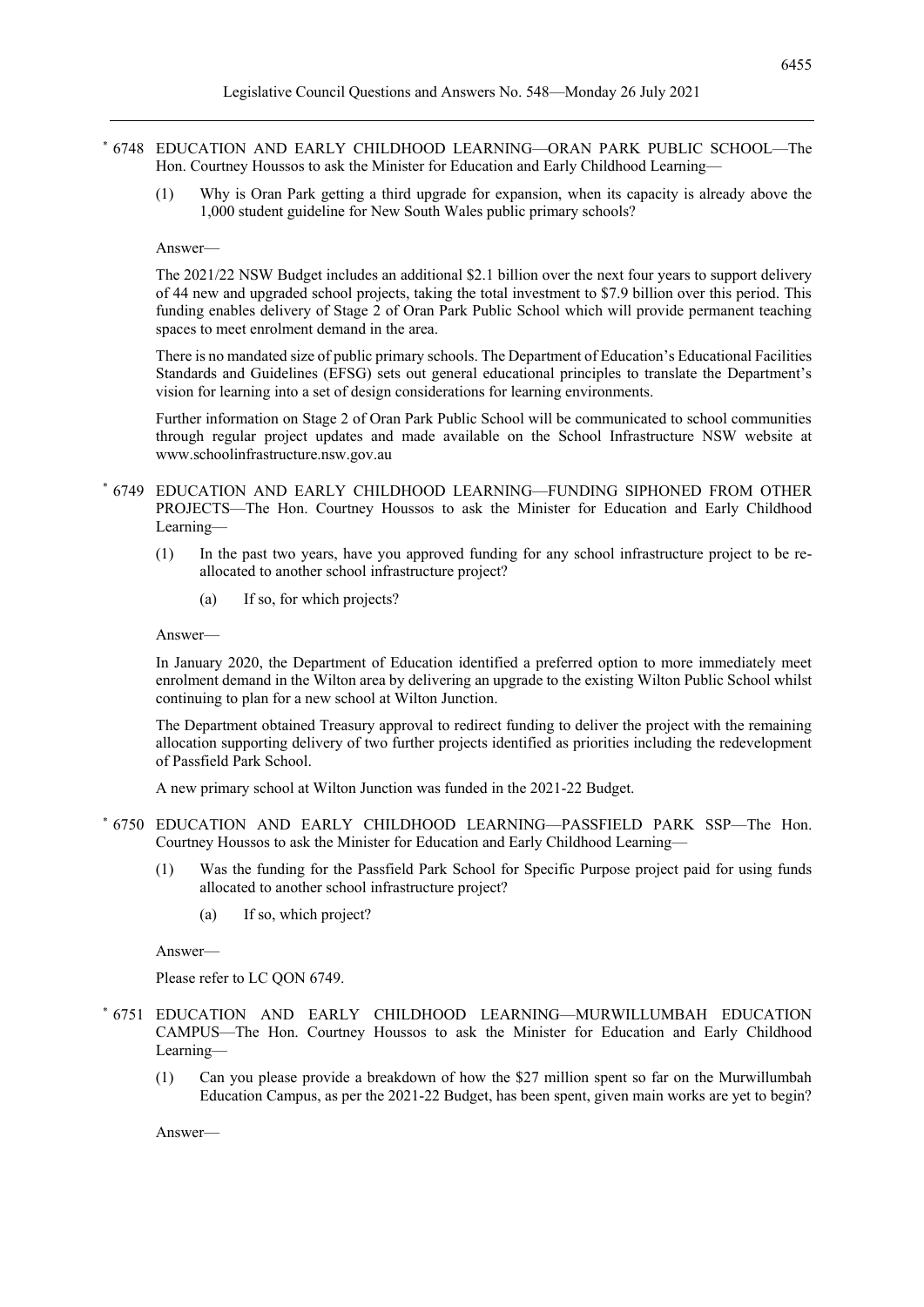- \* 6748 EDUCATION AND EARLY CHILDHOOD LEARNING—ORAN PARK PUBLIC SCHOOL—The Hon. Courtney Houssos to ask the Minister for Education and Early Childhood Learning—
	- (1) Why is Oran Park getting a third upgrade for expansion, when its capacity is already above the 1,000 student guideline for New South Wales public primary schools?

The 2021/22 NSW Budget includes an additional \$2.1 billion over the next four years to support delivery of 44 new and upgraded school projects, taking the total investment to \$7.9 billion over this period. This funding enables delivery of Stage 2 of Oran Park Public School which will provide permanent teaching spaces to meet enrolment demand in the area.

There is no mandated size of public primary schools. The Department of Education's Educational Facilities Standards and Guidelines (EFSG) sets out general educational principles to translate the Department's vision for learning into a set of design considerations for learning environments.

Further information on Stage 2 of Oran Park Public School will be communicated to school communities through regular project updates and made available on the School Infrastructure NSW website at www.schoolinfrastructure.nsw.gov.au

- \* 6749 EDUCATION AND EARLY CHILDHOOD LEARNING—FUNDING SIPHONED FROM OTHER PROJECTS—The Hon. Courtney Houssos to ask the Minister for Education and Early Childhood Learning—
	- (1) In the past two years, have you approved funding for any school infrastructure project to be reallocated to another school infrastructure project?
		- (a) If so, for which projects?

Answer—

In January 2020, the Department of Education identified a preferred option to more immediately meet enrolment demand in the Wilton area by delivering an upgrade to the existing Wilton Public School whilst continuing to plan for a new school at Wilton Junction.

The Department obtained Treasury approval to redirect funding to deliver the project with the remaining allocation supporting delivery of two further projects identified as priorities including the redevelopment of Passfield Park School.

A new primary school at Wilton Junction was funded in the 2021-22 Budget.

- \* 6750 EDUCATION AND EARLY CHILDHOOD LEARNING—PASSFIELD PARK SSP—The Hon. Courtney Houssos to ask the Minister for Education and Early Childhood Learning—
	- (1) Was the funding for the Passfield Park School for Specific Purpose project paid for using funds allocated to another school infrastructure project?
		- (a) If so, which project?

Answer—

Please refer to LC QON 6749.

- \* 6751 EDUCATION AND EARLY CHILDHOOD LEARNING—MURWILLUMBAH EDUCATION CAMPUS—The Hon. Courtney Houssos to ask the Minister for Education and Early Childhood Learning—
	- (1) Can you please provide a breakdown of how the \$27 million spent so far on the Murwillumbah Education Campus, as per the 2021-22 Budget, has been spent, given main works are yet to begin?

Answer—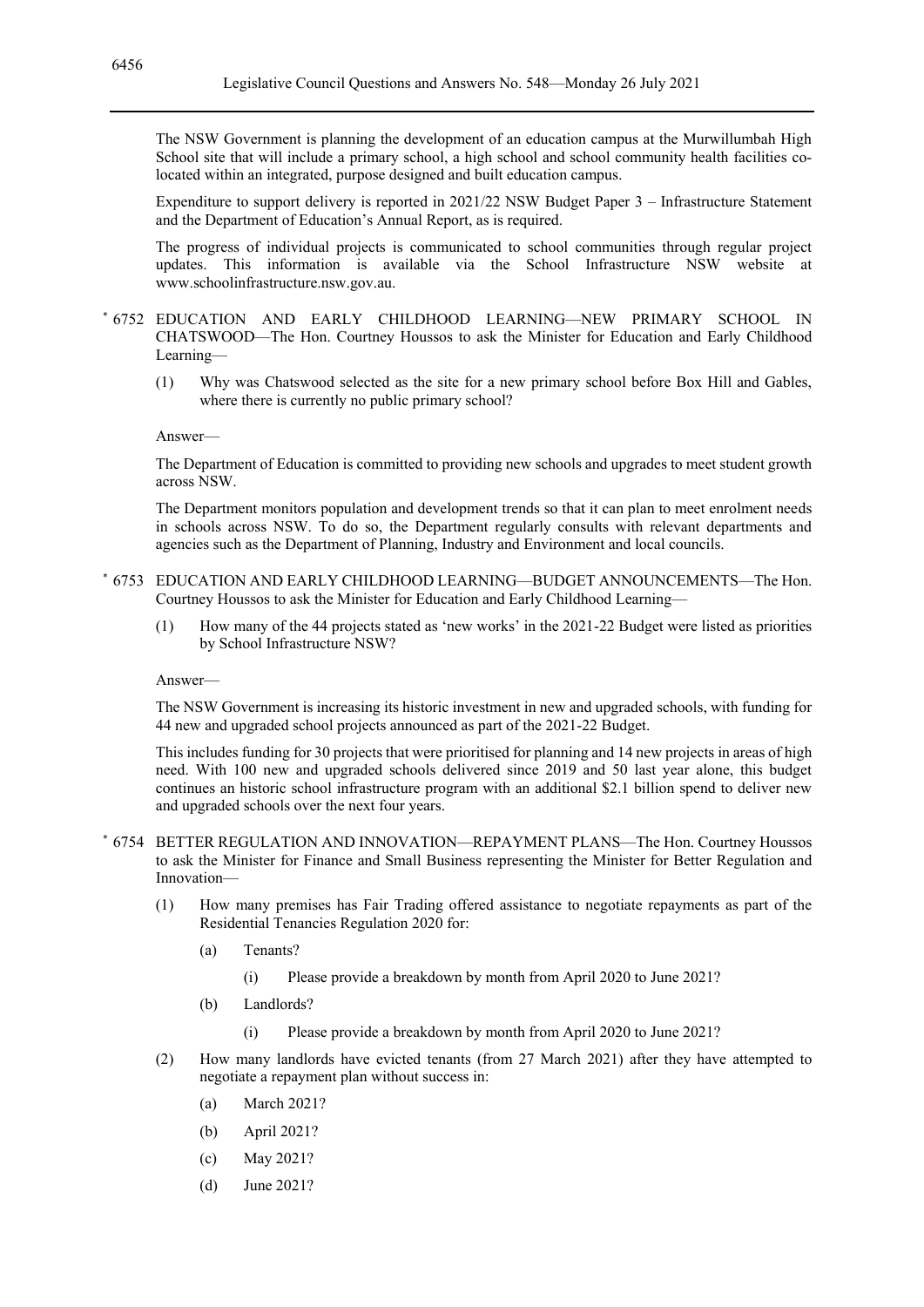The NSW Government is planning the development of an education campus at the Murwillumbah High School site that will include a primary school, a high school and school community health facilities colocated within an integrated, purpose designed and built education campus.

Expenditure to support delivery is reported in 2021/22 NSW Budget Paper 3 – Infrastructure Statement and the Department of Education's Annual Report, as is required.

The progress of individual projects is communicated to school communities through regular project updates. This information is available via the School Infrastructure NSW website at www.schoolinfrastructure.nsw.gov.au.

#### \* 6752 EDUCATION AND EARLY CHILDHOOD LEARNING—NEW PRIMARY SCHOOL IN CHATSWOOD—The Hon. Courtney Houssos to ask the Minister for Education and Early Childhood Learning—

(1) Why was Chatswood selected as the site for a new primary school before Box Hill and Gables, where there is currently no public primary school?

#### Answer—

The Department of Education is committed to providing new schools and upgrades to meet student growth across NSW.

The Department monitors population and development trends so that it can plan to meet enrolment needs in schools across NSW. To do so, the Department regularly consults with relevant departments and agencies such as the Department of Planning, Industry and Environment and local councils.

- \* 6753 EDUCATION AND EARLY CHILDHOOD LEARNING—BUDGET ANNOUNCEMENTS—The Hon. Courtney Houssos to ask the Minister for Education and Early Childhood Learning—
	- (1) How many of the 44 projects stated as 'new works' in the 2021-22 Budget were listed as priorities by School Infrastructure NSW?

#### Answer—

The NSW Government is increasing its historic investment in new and upgraded schools, with funding for 44 new and upgraded school projects announced as part of the 2021-22 Budget.

This includes funding for 30 projects that were prioritised for planning and 14 new projects in areas of high need. With 100 new and upgraded schools delivered since 2019 and 50 last year alone, this budget continues an historic school infrastructure program with an additional \$2.1 billion spend to deliver new and upgraded schools over the next four years.

- \* 6754 BETTER REGULATION AND INNOVATION—REPAYMENT PLANS—The Hon. Courtney Houssos to ask the Minister for Finance and Small Business representing the Minister for Better Regulation and Innovation—
	- (1) How many premises has Fair Trading offered assistance to negotiate repayments as part of the Residential Tenancies Regulation 2020 for:
		- (a) Tenants?
			- (i) Please provide a breakdown by month from April 2020 to June 2021?
		- (b) Landlords?
			- (i) Please provide a breakdown by month from April 2020 to June 2021?
	- (2) How many landlords have evicted tenants (from 27 March 2021) after they have attempted to negotiate a repayment plan without success in:
		- (a) March 2021?
		- (b) April 2021?
		- (c) May 2021?
		- (d) June 2021?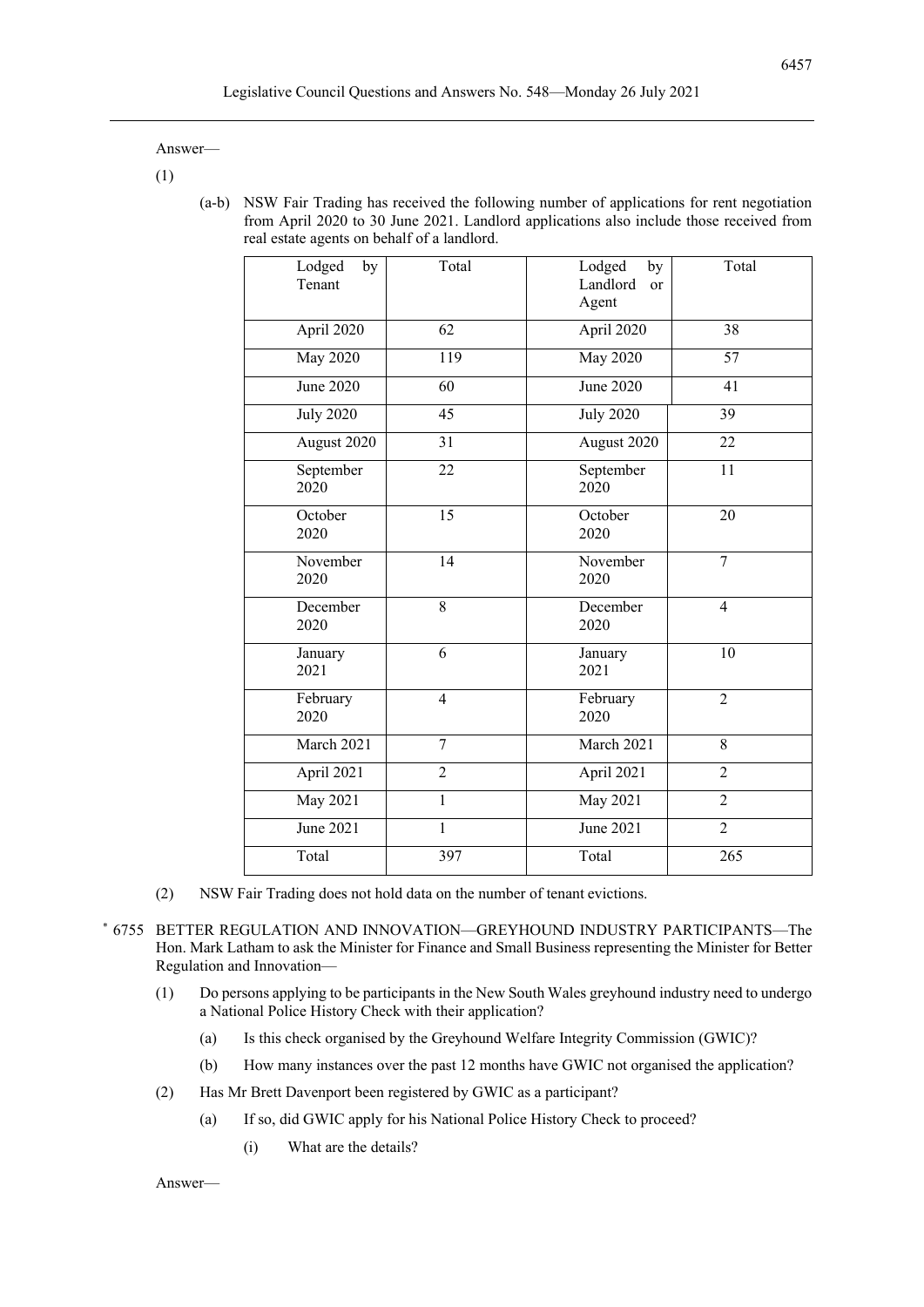(1)

(a-b) NSW Fair Trading has received the following number of applications for rent negotiation from April 2020 to 30 June 2021. Landlord applications also include those received from real estate agents on behalf of a landlord.

| Lodged<br>by<br>Tenant        | Total          | Lodged<br>by<br>Landlord<br>or<br>Agent | Total                    |
|-------------------------------|----------------|-----------------------------------------|--------------------------|
| April 2020                    | 62             | April 2020                              | 38                       |
| <b>May 2020</b>               | 119            | <b>May 2020</b>                         | 57                       |
| $\overline{\text{June}}$ 2020 | 60             | June 2020                               | 41                       |
| <b>July 2020</b>              | 45             | <b>July 2020</b>                        | $\overline{39}$          |
| August 2020                   | 31             | August 2020                             | 22                       |
| September<br>2020             | 22             | September<br>2020                       | 11                       |
| October<br>2020               | 15             | October<br>2020                         | 20                       |
| November<br>2020              | 14             | November<br>2020                        | $\overline{7}$           |
| December<br>2020              | $\overline{8}$ | December<br>2020                        | $\overline{\mathcal{L}}$ |
| January<br>2021               | 6              | January<br>2021                         | 10                       |
| February<br>2020              | $\overline{4}$ | February<br>2020                        | $\overline{2}$           |
| March 2021                    | $\overline{7}$ | March 2021                              | 8                        |
| April 2021                    | $\overline{2}$ | April 2021                              | $\overline{2}$           |
| May 2021                      | $\mathbf{1}$   | May 2021                                | $\overline{2}$           |
| June 2021                     | $\mathbf{1}$   | June 2021                               | $\overline{2}$           |
| Total                         | 397            | Total                                   | 265                      |
|                               |                |                                         |                          |

- (2) NSW Fair Trading does not hold data on the number of tenant evictions.
- \* 6755 BETTER REGULATION AND INNOVATION—GREYHOUND INDUSTRY PARTICIPANTS—The Hon. Mark Latham to ask the Minister for Finance and Small Business representing the Minister for Better Regulation and Innovation—
	- (1) Do persons applying to be participants in the New South Wales greyhound industry need to undergo a National Police History Check with their application?
		- (a) Is this check organised by the Greyhound Welfare Integrity Commission (GWIC)?
		- (b) How many instances over the past 12 months have GWIC not organised the application?
	- (2) Has Mr Brett Davenport been registered by GWIC as a participant?
		- (a) If so, did GWIC apply for his National Police History Check to proceed?
			- (i) What are the details?

Answer—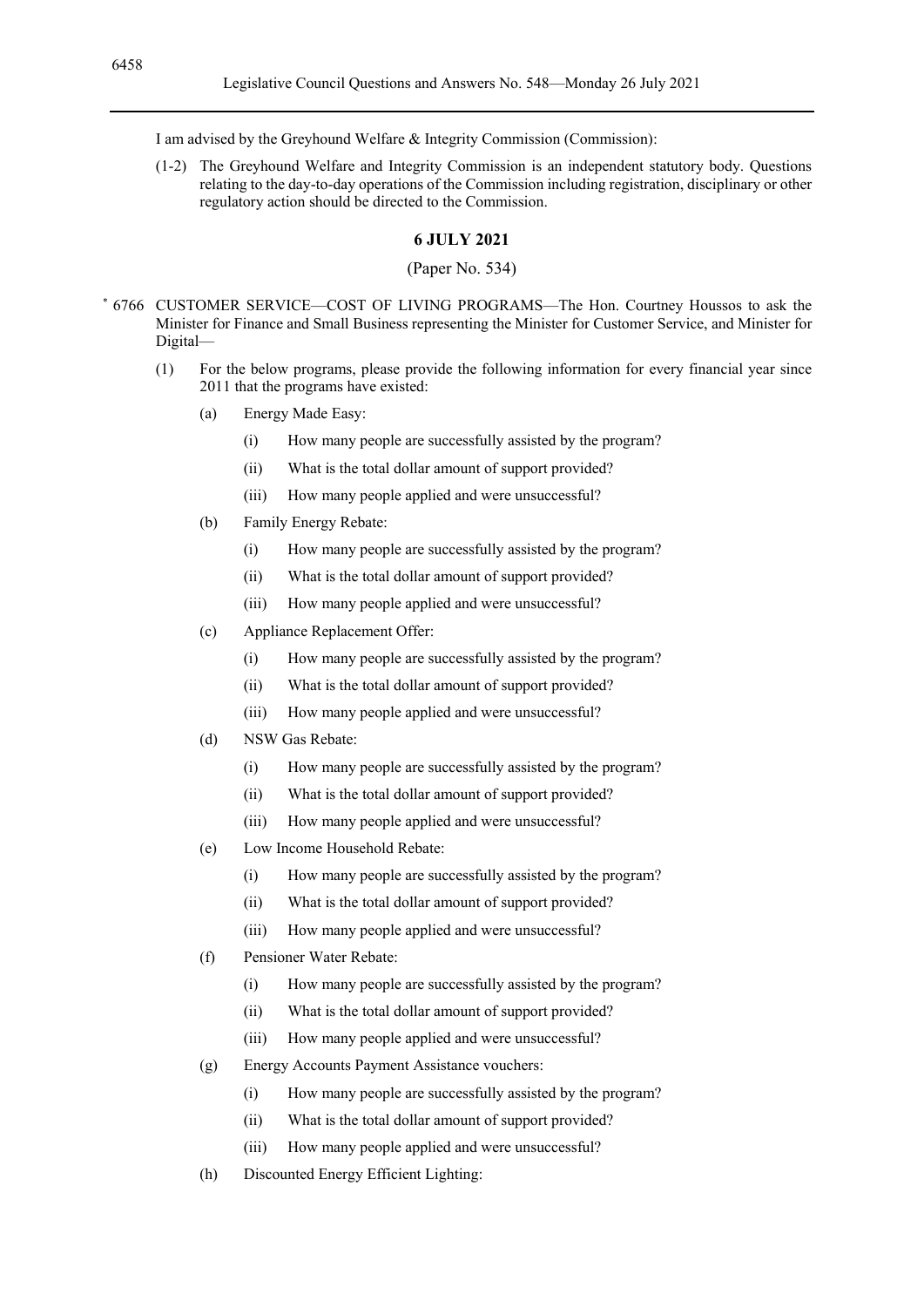I am advised by the Greyhound Welfare & Integrity Commission (Commission):

(1-2) The Greyhound Welfare and Integrity Commission is an independent statutory body. Questions relating to the day-to-day operations of the Commission including registration, disciplinary or other regulatory action should be directed to the Commission.

#### **6 JULY 2021**

#### (Paper No. 534)

- \* 6766 CUSTOMER SERVICE—COST OF LIVING PROGRAMS—The Hon. Courtney Houssos to ask the Minister for Finance and Small Business representing the Minister for Customer Service, and Minister for Digital—
	- (1) For the below programs, please provide the following information for every financial year since 2011 that the programs have existed:
		- (a) Energy Made Easy:
			- (i) How many people are successfully assisted by the program?
			- (ii) What is the total dollar amount of support provided?
			- (iii) How many people applied and were unsuccessful?
		- (b) Family Energy Rebate:
			- (i) How many people are successfully assisted by the program?
			- (ii) What is the total dollar amount of support provided?
			- (iii) How many people applied and were unsuccessful?
		- (c) Appliance Replacement Offer:
			- (i) How many people are successfully assisted by the program?
			- (ii) What is the total dollar amount of support provided?
			- (iii) How many people applied and were unsuccessful?
		- (d) NSW Gas Rebate:
			- (i) How many people are successfully assisted by the program?
			- (ii) What is the total dollar amount of support provided?
			- (iii) How many people applied and were unsuccessful?
		- (e) Low Income Household Rebate:
			- (i) How many people are successfully assisted by the program?
			- (ii) What is the total dollar amount of support provided?
			- (iii) How many people applied and were unsuccessful?
		- (f) Pensioner Water Rebate:
			- (i) How many people are successfully assisted by the program?
			- (ii) What is the total dollar amount of support provided?
			- (iii) How many people applied and were unsuccessful?
		- (g) Energy Accounts Payment Assistance vouchers:
			- (i) How many people are successfully assisted by the program?
			- (ii) What is the total dollar amount of support provided?
			- (iii) How many people applied and were unsuccessful?
		- (h) Discounted Energy Efficient Lighting: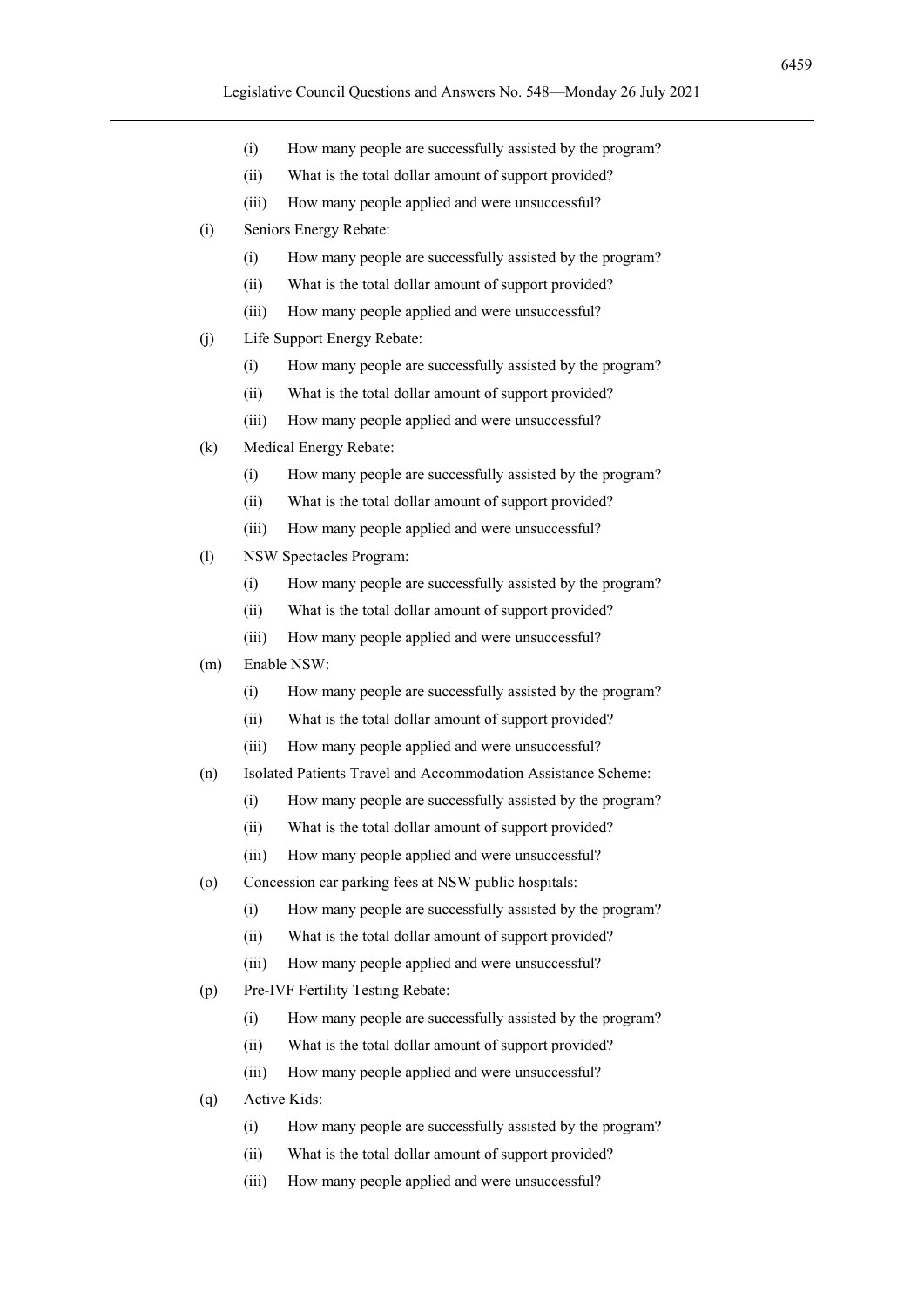- (i) How many people are successfully assisted by the program?
- (ii) What is the total dollar amount of support provided?
- (iii) How many people applied and were unsuccessful?
- (i) Seniors Energy Rebate:
	- (i) How many people are successfully assisted by the program?
	- (ii) What is the total dollar amount of support provided?
	- (iii) How many people applied and were unsuccessful?
- (j) Life Support Energy Rebate:
	- (i) How many people are successfully assisted by the program?
	- (ii) What is the total dollar amount of support provided?
	- (iii) How many people applied and were unsuccessful?
- (k) Medical Energy Rebate:
	- (i) How many people are successfully assisted by the program?
	- (ii) What is the total dollar amount of support provided?
	- (iii) How many people applied and were unsuccessful?
- (l) NSW Spectacles Program:
	- (i) How many people are successfully assisted by the program?
	- (ii) What is the total dollar amount of support provided?
	- (iii) How many people applied and were unsuccessful?
- (m) Enable NSW:
	- (i) How many people are successfully assisted by the program?
	- (ii) What is the total dollar amount of support provided?
	- (iii) How many people applied and were unsuccessful?
- (n) Isolated Patients Travel and Accommodation Assistance Scheme:
	- (i) How many people are successfully assisted by the program?
	- (ii) What is the total dollar amount of support provided?
	- (iii) How many people applied and were unsuccessful?
- (o) Concession car parking fees at NSW public hospitals:
	- (i) How many people are successfully assisted by the program?
	- (ii) What is the total dollar amount of support provided?
	- (iii) How many people applied and were unsuccessful?
- (p) Pre-IVF Fertility Testing Rebate:
	- (i) How many people are successfully assisted by the program?
	- (ii) What is the total dollar amount of support provided?
	- (iii) How many people applied and were unsuccessful?
- (q) Active Kids:
	- (i) How many people are successfully assisted by the program?
	- (ii) What is the total dollar amount of support provided?
	- (iii) How many people applied and were unsuccessful?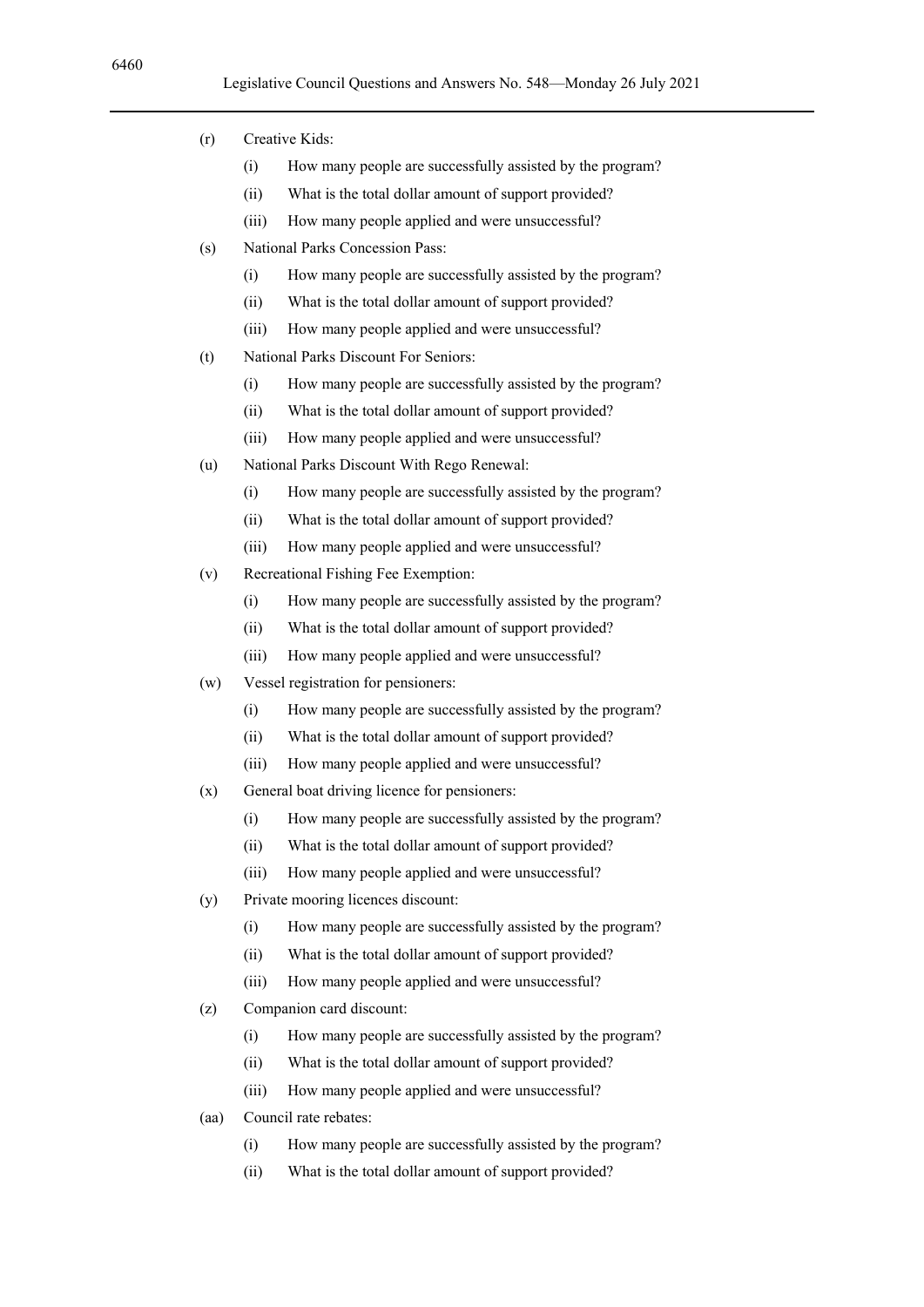- (r) Creative Kids:
	- (i) How many people are successfully assisted by the program?
	- (ii) What is the total dollar amount of support provided?
	- (iii) How many people applied and were unsuccessful?
- (s) National Parks Concession Pass:
	- (i) How many people are successfully assisted by the program?
	- (ii) What is the total dollar amount of support provided?
	- (iii) How many people applied and were unsuccessful?
- (t) National Parks Discount For Seniors:
	- (i) How many people are successfully assisted by the program?
	- (ii) What is the total dollar amount of support provided?
	- (iii) How many people applied and were unsuccessful?
- (u) National Parks Discount With Rego Renewal:
	- (i) How many people are successfully assisted by the program?
	- (ii) What is the total dollar amount of support provided?
	- (iii) How many people applied and were unsuccessful?
- (v) Recreational Fishing Fee Exemption:
	- (i) How many people are successfully assisted by the program?
	- (ii) What is the total dollar amount of support provided?
	- (iii) How many people applied and were unsuccessful?
- (w) Vessel registration for pensioners:
	- (i) How many people are successfully assisted by the program?
	- (ii) What is the total dollar amount of support provided?
	- (iii) How many people applied and were unsuccessful?
- (x) General boat driving licence for pensioners:
	- (i) How many people are successfully assisted by the program?
	- (ii) What is the total dollar amount of support provided?
	- (iii) How many people applied and were unsuccessful?
- (y) Private mooring licences discount:
	- (i) How many people are successfully assisted by the program?
	- (ii) What is the total dollar amount of support provided?
	- (iii) How many people applied and were unsuccessful?
- (z) Companion card discount:
	- (i) How many people are successfully assisted by the program?
	- (ii) What is the total dollar amount of support provided?
	- (iii) How many people applied and were unsuccessful?
- (aa) Council rate rebates:
	- (i) How many people are successfully assisted by the program?
	- (ii) What is the total dollar amount of support provided?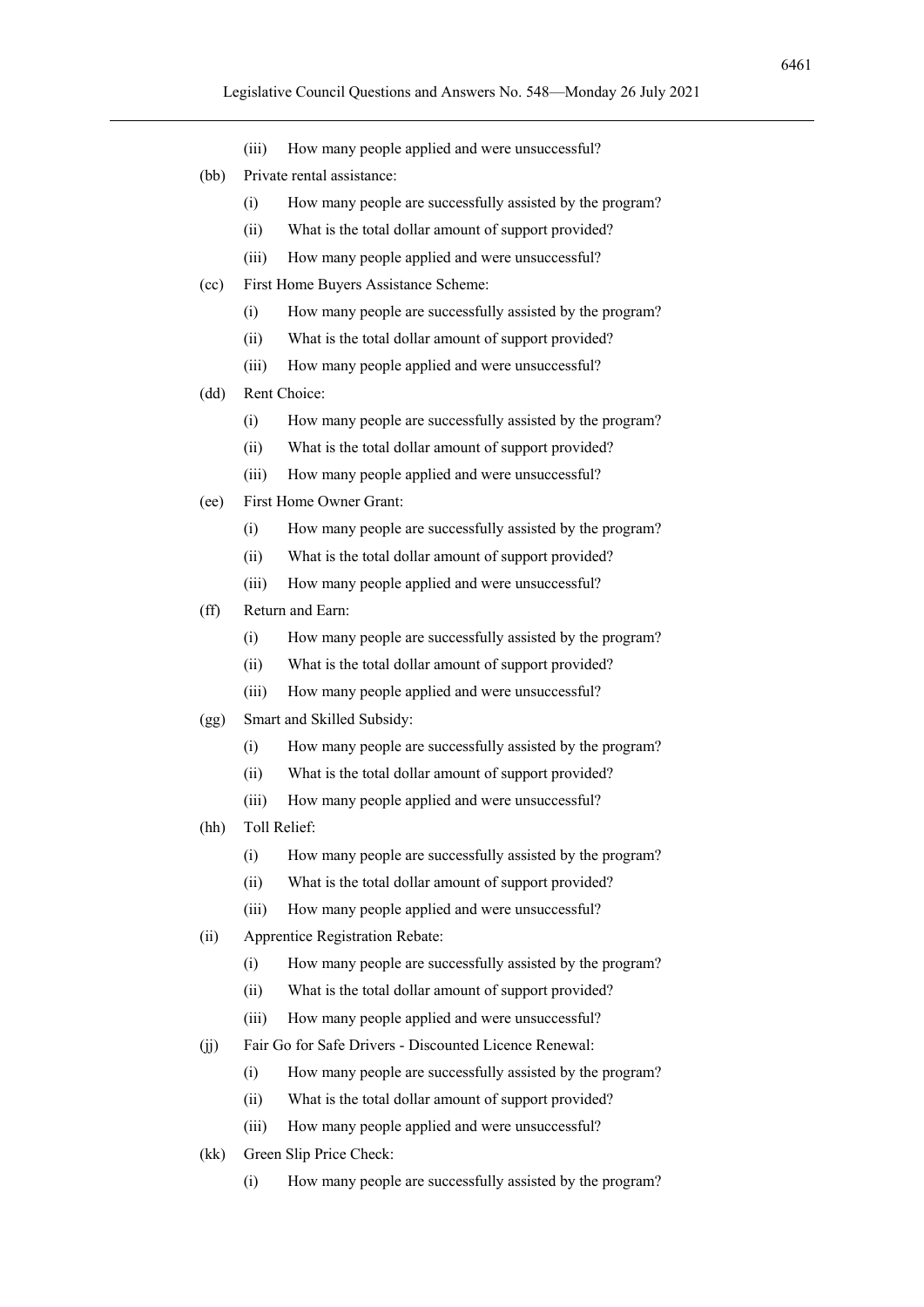- (iii) How many people applied and were unsuccessful?
- (bb) Private rental assistance:
	- (i) How many people are successfully assisted by the program?
	- (ii) What is the total dollar amount of support provided?
	- (iii) How many people applied and were unsuccessful?
- (cc) First Home Buyers Assistance Scheme:
	- (i) How many people are successfully assisted by the program?
	- (ii) What is the total dollar amount of support provided?
	- (iii) How many people applied and were unsuccessful?
- (dd) Rent Choice:
	- (i) How many people are successfully assisted by the program?
	- (ii) What is the total dollar amount of support provided?
	- (iii) How many people applied and were unsuccessful?
- (ee) First Home Owner Grant:
	- (i) How many people are successfully assisted by the program?
	- (ii) What is the total dollar amount of support provided?
	- (iii) How many people applied and were unsuccessful?
- (ff) Return and Earn:
	- (i) How many people are successfully assisted by the program?
	- (ii) What is the total dollar amount of support provided?
	- (iii) How many people applied and were unsuccessful?
- (gg) Smart and Skilled Subsidy:
	- (i) How many people are successfully assisted by the program?
	- (ii) What is the total dollar amount of support provided?
	- (iii) How many people applied and were unsuccessful?
- (hh) Toll Relief:
	- (i) How many people are successfully assisted by the program?
	- (ii) What is the total dollar amount of support provided?
	- (iii) How many people applied and were unsuccessful?
- (ii) Apprentice Registration Rebate:
	- (i) How many people are successfully assisted by the program?
	- (ii) What is the total dollar amount of support provided?
	- (iii) How many people applied and were unsuccessful?
- (jj) Fair Go for Safe Drivers Discounted Licence Renewal:
	- (i) How many people are successfully assisted by the program?
	- (ii) What is the total dollar amount of support provided?
	- (iii) How many people applied and were unsuccessful?
- (kk) Green Slip Price Check:
	- (i) How many people are successfully assisted by the program?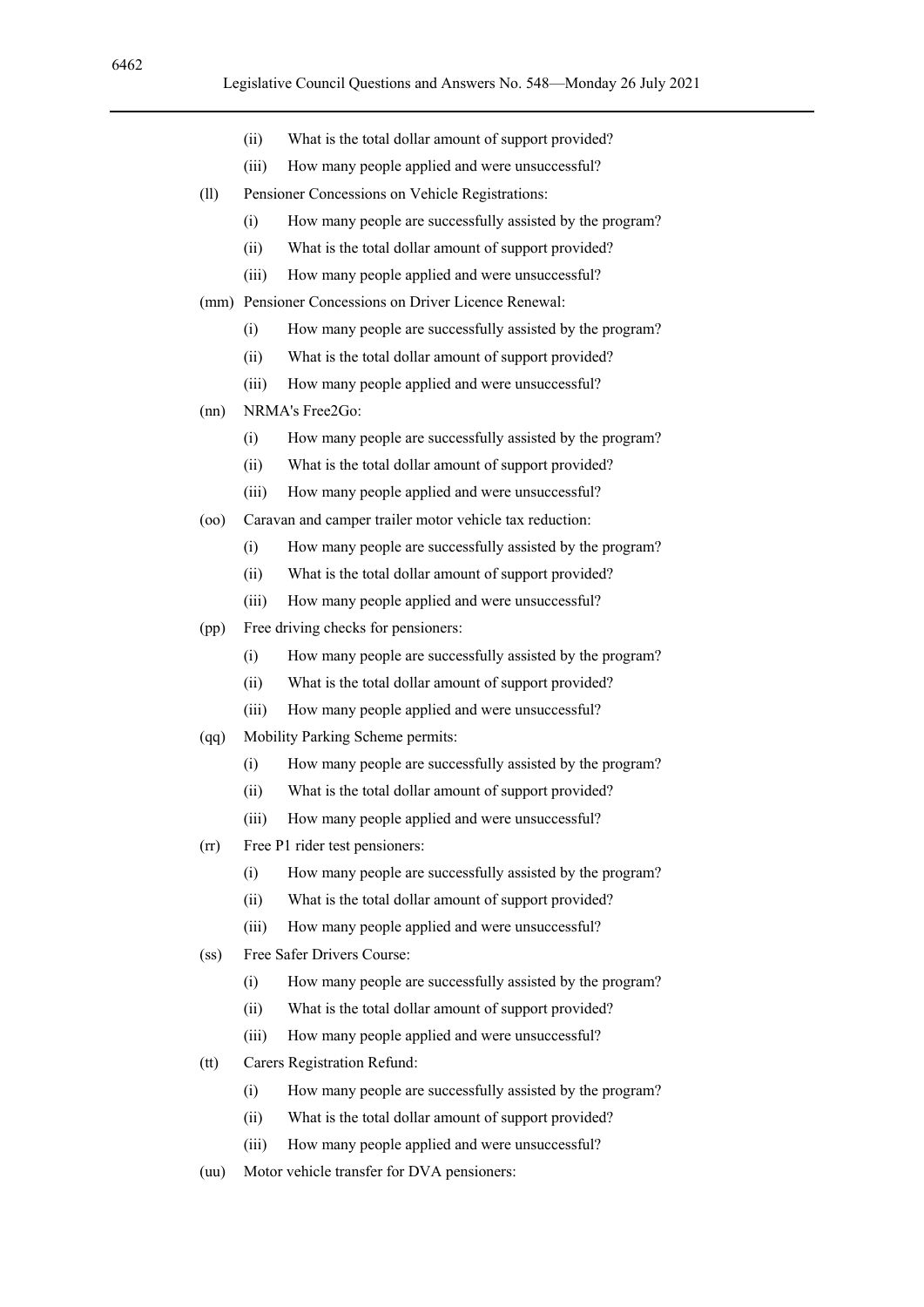- (ii) What is the total dollar amount of support provided?
- (iii) How many people applied and were unsuccessful?
- (ll) Pensioner Concessions on Vehicle Registrations:
	- (i) How many people are successfully assisted by the program?
	- (ii) What is the total dollar amount of support provided?
	- (iii) How many people applied and were unsuccessful?
- (mm) Pensioner Concessions on Driver Licence Renewal:
	- (i) How many people are successfully assisted by the program?
	- (ii) What is the total dollar amount of support provided?
	- (iii) How many people applied and were unsuccessful?
- (nn) NRMA's Free2Go:
	- (i) How many people are successfully assisted by the program?
	- (ii) What is the total dollar amount of support provided?
	- (iii) How many people applied and were unsuccessful?
- (oo) Caravan and camper trailer motor vehicle tax reduction:
	- (i) How many people are successfully assisted by the program?
	- (ii) What is the total dollar amount of support provided?
	- (iii) How many people applied and were unsuccessful?
- (pp) Free driving checks for pensioners:
	- (i) How many people are successfully assisted by the program?
	- (ii) What is the total dollar amount of support provided?
	- (iii) How many people applied and were unsuccessful?
- (qq) Mobility Parking Scheme permits:
	- (i) How many people are successfully assisted by the program?
	- (ii) What is the total dollar amount of support provided?
	- (iii) How many people applied and were unsuccessful?
- (rr) Free P1 rider test pensioners:
	- (i) How many people are successfully assisted by the program?
	- (ii) What is the total dollar amount of support provided?
	- (iii) How many people applied and were unsuccessful?
- (ss) Free Safer Drivers Course:
	- (i) How many people are successfully assisted by the program?
	- (ii) What is the total dollar amount of support provided?
	- (iii) How many people applied and were unsuccessful?
- (tt) Carers Registration Refund:
	- (i) How many people are successfully assisted by the program?
	- (ii) What is the total dollar amount of support provided?
	- (iii) How many people applied and were unsuccessful?
- (uu) Motor vehicle transfer for DVA pensioners: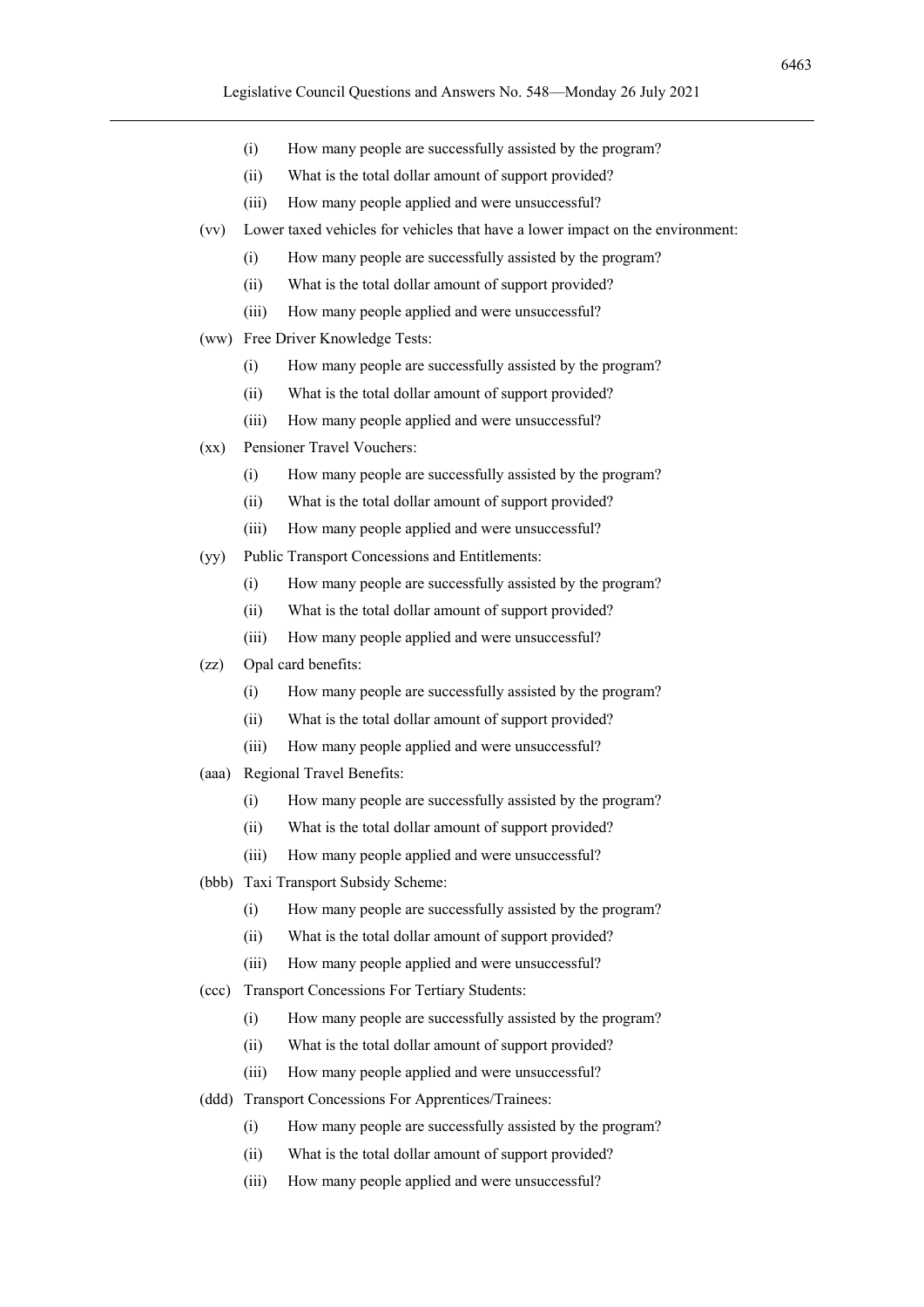- (i) How many people are successfully assisted by the program?
- (ii) What is the total dollar amount of support provided?
- (iii) How many people applied and were unsuccessful?
- (vv) Lower taxed vehicles for vehicles that have a lower impact on the environment:
	- (i) How many people are successfully assisted by the program?
	- (ii) What is the total dollar amount of support provided?
	- (iii) How many people applied and were unsuccessful?
- (ww) Free Driver Knowledge Tests:
	- (i) How many people are successfully assisted by the program?
	- (ii) What is the total dollar amount of support provided?
	- (iii) How many people applied and were unsuccessful?
- (xx) Pensioner Travel Vouchers:
	- (i) How many people are successfully assisted by the program?
	- (ii) What is the total dollar amount of support provided?
	- (iii) How many people applied and were unsuccessful?
- (yy) Public Transport Concessions and Entitlements:
	- (i) How many people are successfully assisted by the program?
	- (ii) What is the total dollar amount of support provided?
	- (iii) How many people applied and were unsuccessful?
- (zz) Opal card benefits:
	- (i) How many people are successfully assisted by the program?
	- (ii) What is the total dollar amount of support provided?
	- (iii) How many people applied and were unsuccessful?
- (aaa) Regional Travel Benefits:
	- (i) How many people are successfully assisted by the program?
	- (ii) What is the total dollar amount of support provided?
	- (iii) How many people applied and were unsuccessful?
- (bbb) Taxi Transport Subsidy Scheme:
	- (i) How many people are successfully assisted by the program?
	- (ii) What is the total dollar amount of support provided?
	- (iii) How many people applied and were unsuccessful?
- (ccc) Transport Concessions For Tertiary Students:
	- (i) How many people are successfully assisted by the program?
	- (ii) What is the total dollar amount of support provided?
	- (iii) How many people applied and were unsuccessful?
- (ddd) Transport Concessions For Apprentices/Trainees:
	- (i) How many people are successfully assisted by the program?
	- (ii) What is the total dollar amount of support provided?
	- (iii) How many people applied and were unsuccessful?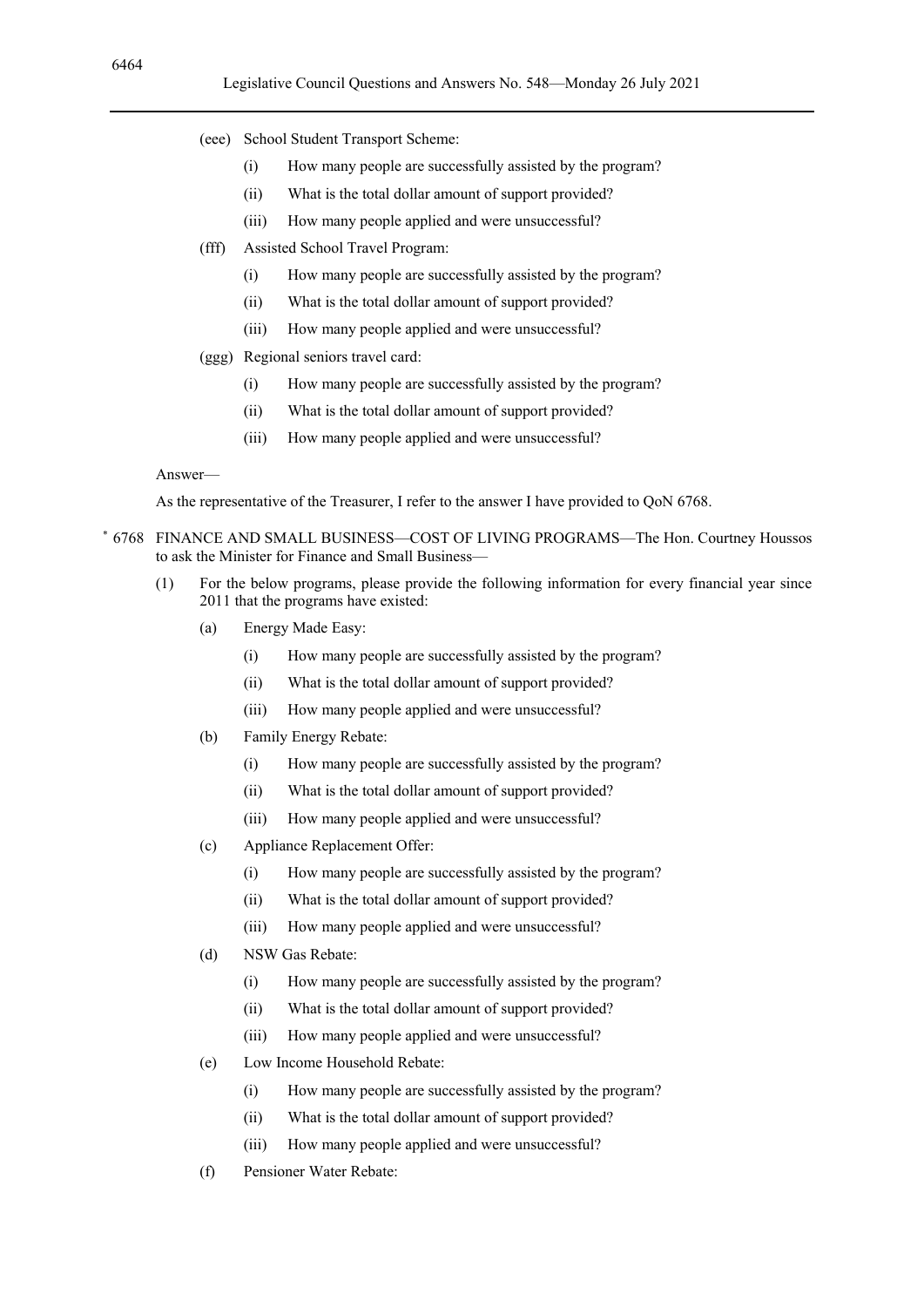- (eee) School Student Transport Scheme:
	- (i) How many people are successfully assisted by the program?
	- (ii) What is the total dollar amount of support provided?
	- (iii) How many people applied and were unsuccessful?
- (fff) Assisted School Travel Program:
	- (i) How many people are successfully assisted by the program?
	- (ii) What is the total dollar amount of support provided?
	- (iii) How many people applied and were unsuccessful?
- (ggg) Regional seniors travel card:
	- (i) How many people are successfully assisted by the program?
	- (ii) What is the total dollar amount of support provided?
	- (iii) How many people applied and were unsuccessful?

As the representative of the Treasurer, I refer to the answer I have provided to QoN 6768.

- \* 6768 FINANCE AND SMALL BUSINESS—COST OF LIVING PROGRAMS—The Hon. Courtney Houssos to ask the Minister for Finance and Small Business-
	- (1) For the below programs, please provide the following information for every financial year since 2011 that the programs have existed:
		- (a) Energy Made Easy:
			- (i) How many people are successfully assisted by the program?
			- (ii) What is the total dollar amount of support provided?
			- (iii) How many people applied and were unsuccessful?
		- (b) Family Energy Rebate:
			- (i) How many people are successfully assisted by the program?
			- (ii) What is the total dollar amount of support provided?
			- (iii) How many people applied and were unsuccessful?
		- (c) Appliance Replacement Offer:
			- (i) How many people are successfully assisted by the program?
			- (ii) What is the total dollar amount of support provided?
			- (iii) How many people applied and were unsuccessful?
		- (d) NSW Gas Rebate:
			- (i) How many people are successfully assisted by the program?
			- (ii) What is the total dollar amount of support provided?
			- (iii) How many people applied and were unsuccessful?
		- (e) Low Income Household Rebate:
			- (i) How many people are successfully assisted by the program?
			- (ii) What is the total dollar amount of support provided?
			- (iii) How many people applied and were unsuccessful?
		- (f) Pensioner Water Rebate: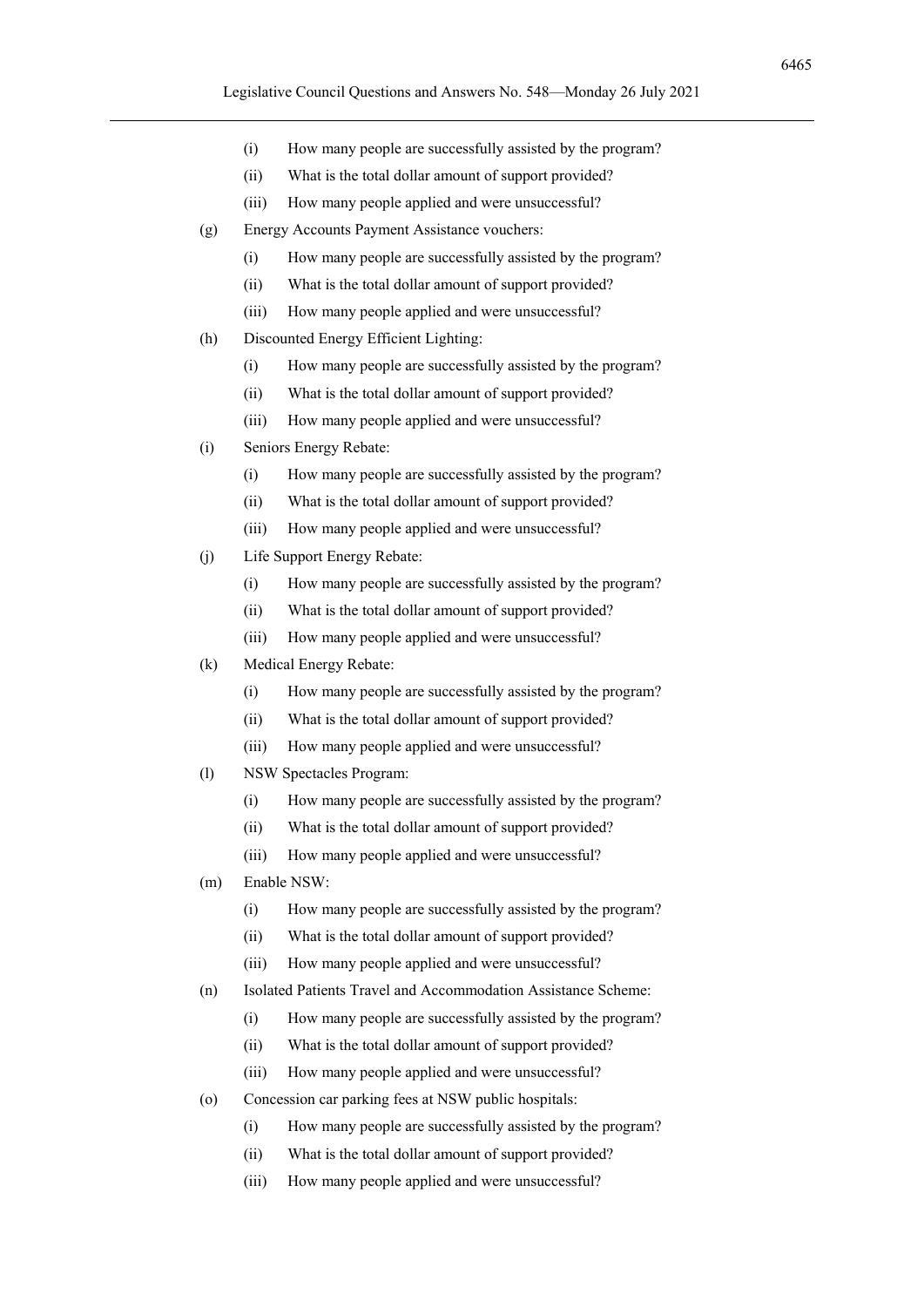- (i) How many people are successfully assisted by the program?
- (ii) What is the total dollar amount of support provided?
- (iii) How many people applied and were unsuccessful?
- (g) Energy Accounts Payment Assistance vouchers:
	- (i) How many people are successfully assisted by the program?
	- (ii) What is the total dollar amount of support provided?
	- (iii) How many people applied and were unsuccessful?
- (h) Discounted Energy Efficient Lighting:
	- (i) How many people are successfully assisted by the program?
	- (ii) What is the total dollar amount of support provided?
	- (iii) How many people applied and were unsuccessful?
- (i) Seniors Energy Rebate:
	- (i) How many people are successfully assisted by the program?
	- (ii) What is the total dollar amount of support provided?
	- (iii) How many people applied and were unsuccessful?
- (j) Life Support Energy Rebate:
	- (i) How many people are successfully assisted by the program?
	- (ii) What is the total dollar amount of support provided?
	- (iii) How many people applied and were unsuccessful?
- (k) Medical Energy Rebate:
	- (i) How many people are successfully assisted by the program?
	- (ii) What is the total dollar amount of support provided?
	- (iii) How many people applied and were unsuccessful?
- (l) NSW Spectacles Program:
	- (i) How many people are successfully assisted by the program?
	- (ii) What is the total dollar amount of support provided?
	- (iii) How many people applied and were unsuccessful?
- (m) Enable NSW:
	- (i) How many people are successfully assisted by the program?
	- (ii) What is the total dollar amount of support provided?
	- (iii) How many people applied and were unsuccessful?
- (n) Isolated Patients Travel and Accommodation Assistance Scheme:
	- (i) How many people are successfully assisted by the program?
	- (ii) What is the total dollar amount of support provided?
	- (iii) How many people applied and were unsuccessful?
- (o) Concession car parking fees at NSW public hospitals:
	- (i) How many people are successfully assisted by the program?
	- (ii) What is the total dollar amount of support provided?
	- (iii) How many people applied and were unsuccessful?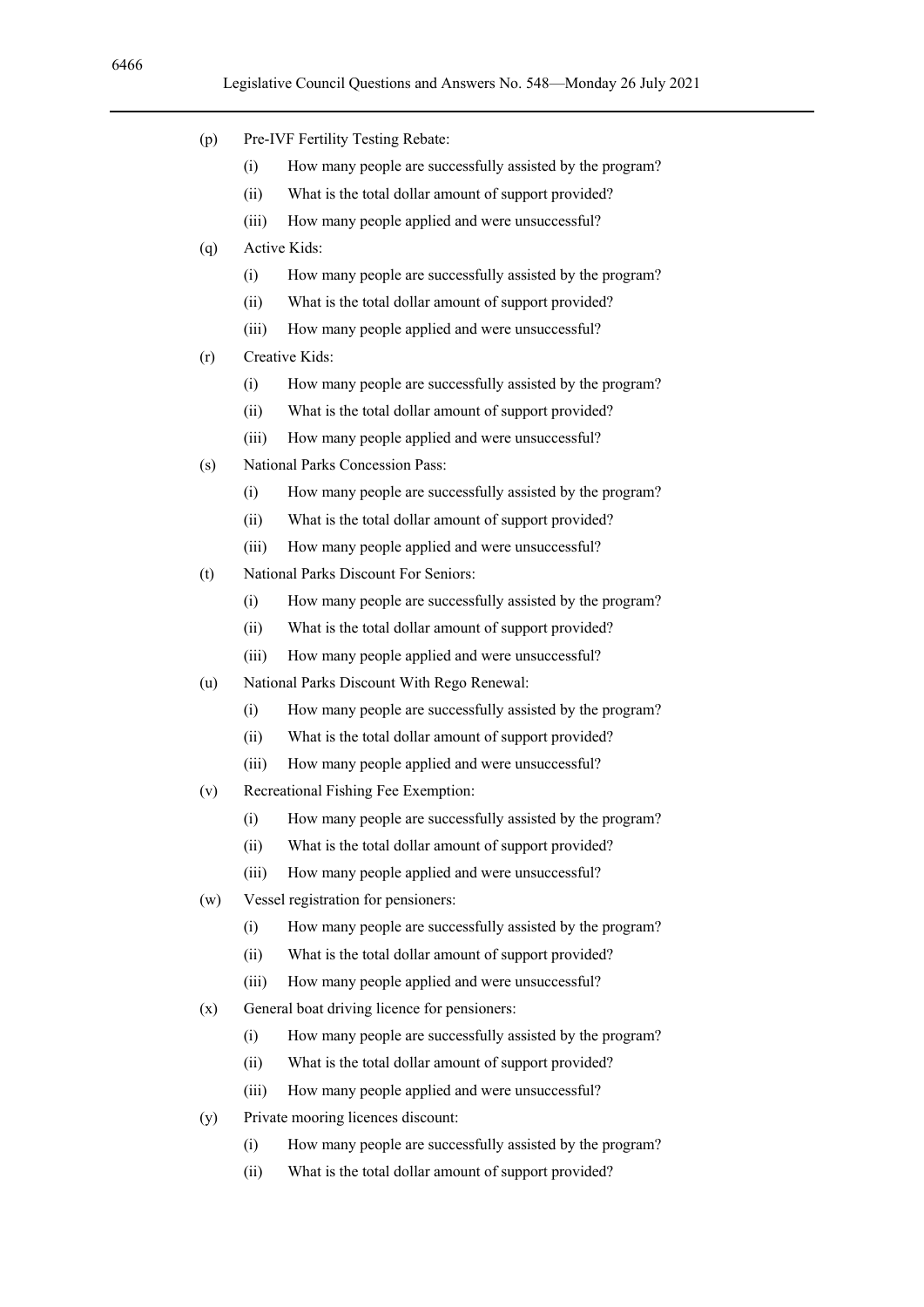- (p) Pre-IVF Fertility Testing Rebate:
	- (i) How many people are successfully assisted by the program?
	- (ii) What is the total dollar amount of support provided?
	- (iii) How many people applied and were unsuccessful?
- (q) Active Kids:
	- (i) How many people are successfully assisted by the program?
	- (ii) What is the total dollar amount of support provided?
	- (iii) How many people applied and were unsuccessful?
- (r) Creative Kids:
	- (i) How many people are successfully assisted by the program?
	- (ii) What is the total dollar amount of support provided?
	- (iii) How many people applied and were unsuccessful?
- (s) National Parks Concession Pass:
	- (i) How many people are successfully assisted by the program?
	- (ii) What is the total dollar amount of support provided?
	- (iii) How many people applied and were unsuccessful?
- (t) National Parks Discount For Seniors:
	- (i) How many people are successfully assisted by the program?
	- (ii) What is the total dollar amount of support provided?
	- (iii) How many people applied and were unsuccessful?
- (u) National Parks Discount With Rego Renewal:
	- (i) How many people are successfully assisted by the program?
	- (ii) What is the total dollar amount of support provided?
	- (iii) How many people applied and were unsuccessful?
- (v) Recreational Fishing Fee Exemption:
	- (i) How many people are successfully assisted by the program?
	- (ii) What is the total dollar amount of support provided?
	- (iii) How many people applied and were unsuccessful?
- (w) Vessel registration for pensioners:
	- (i) How many people are successfully assisted by the program?
	- (ii) What is the total dollar amount of support provided?
	- (iii) How many people applied and were unsuccessful?
- (x) General boat driving licence for pensioners:
	- (i) How many people are successfully assisted by the program?
	- (ii) What is the total dollar amount of support provided?
	- (iii) How many people applied and were unsuccessful?
- (y) Private mooring licences discount:
	- (i) How many people are successfully assisted by the program?
	- (ii) What is the total dollar amount of support provided?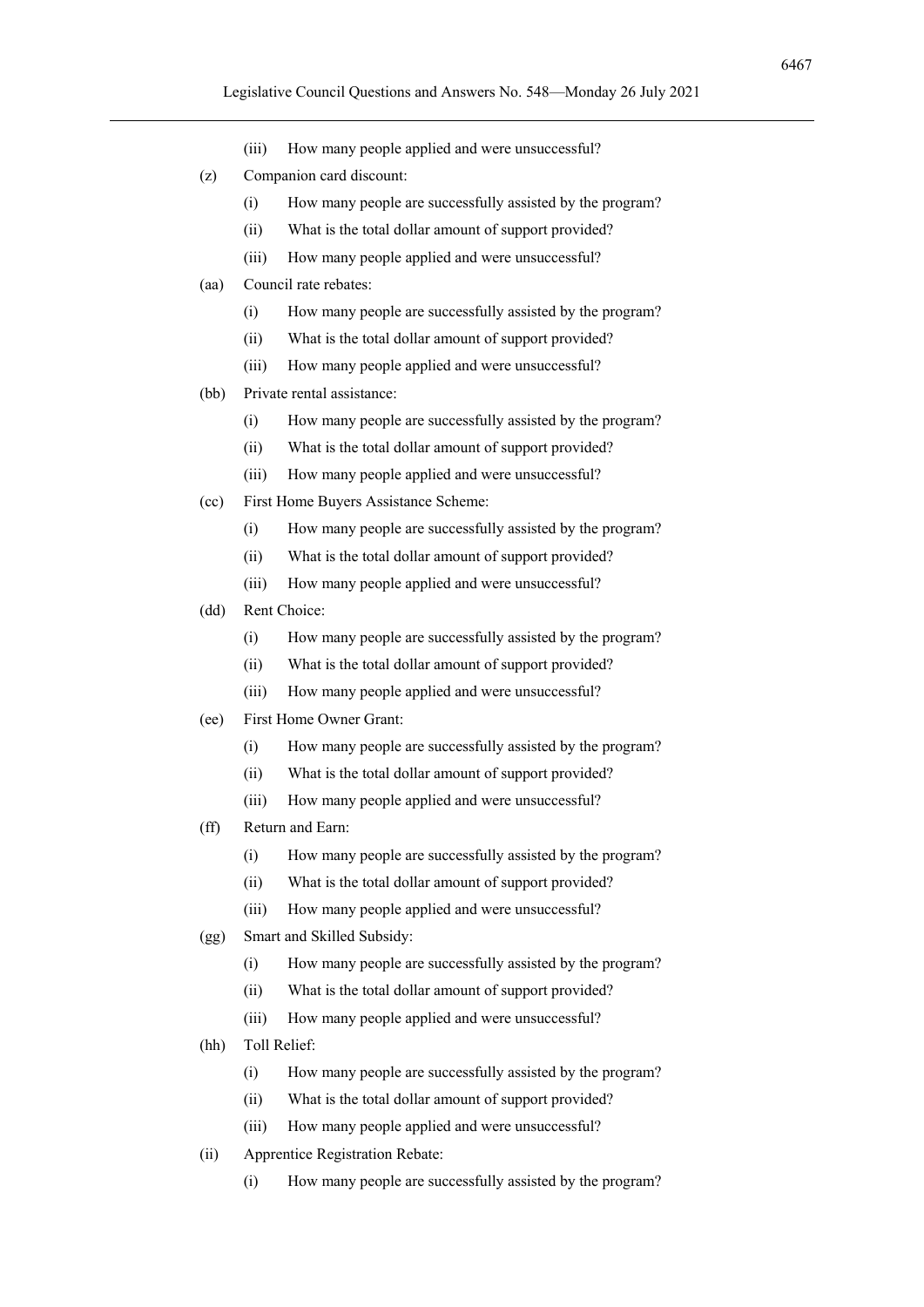- (iii) How many people applied and were unsuccessful?
- (z) Companion card discount:
	- (i) How many people are successfully assisted by the program?
	- (ii) What is the total dollar amount of support provided?
	- (iii) How many people applied and were unsuccessful?
- (aa) Council rate rebates:
	- (i) How many people are successfully assisted by the program?
	- (ii) What is the total dollar amount of support provided?
	- (iii) How many people applied and were unsuccessful?
- (bb) Private rental assistance:
	- (i) How many people are successfully assisted by the program?
	- (ii) What is the total dollar amount of support provided?
	- (iii) How many people applied and were unsuccessful?
- (cc) First Home Buyers Assistance Scheme:
	- (i) How many people are successfully assisted by the program?
	- (ii) What is the total dollar amount of support provided?
	- (iii) How many people applied and were unsuccessful?
- (dd) Rent Choice:
	- (i) How many people are successfully assisted by the program?
	- (ii) What is the total dollar amount of support provided?
	- (iii) How many people applied and were unsuccessful?
- (ee) First Home Owner Grant:
	- (i) How many people are successfully assisted by the program?
	- (ii) What is the total dollar amount of support provided?
	- (iii) How many people applied and were unsuccessful?
- (ff) Return and Earn:
	- (i) How many people are successfully assisted by the program?
	- (ii) What is the total dollar amount of support provided?
	- (iii) How many people applied and were unsuccessful?
- (gg) Smart and Skilled Subsidy:
	- (i) How many people are successfully assisted by the program?
	- (ii) What is the total dollar amount of support provided?
	- (iii) How many people applied and were unsuccessful?
- (hh) Toll Relief:
	- (i) How many people are successfully assisted by the program?
	- (ii) What is the total dollar amount of support provided?
	- (iii) How many people applied and were unsuccessful?
- (ii) Apprentice Registration Rebate:
	- (i) How many people are successfully assisted by the program?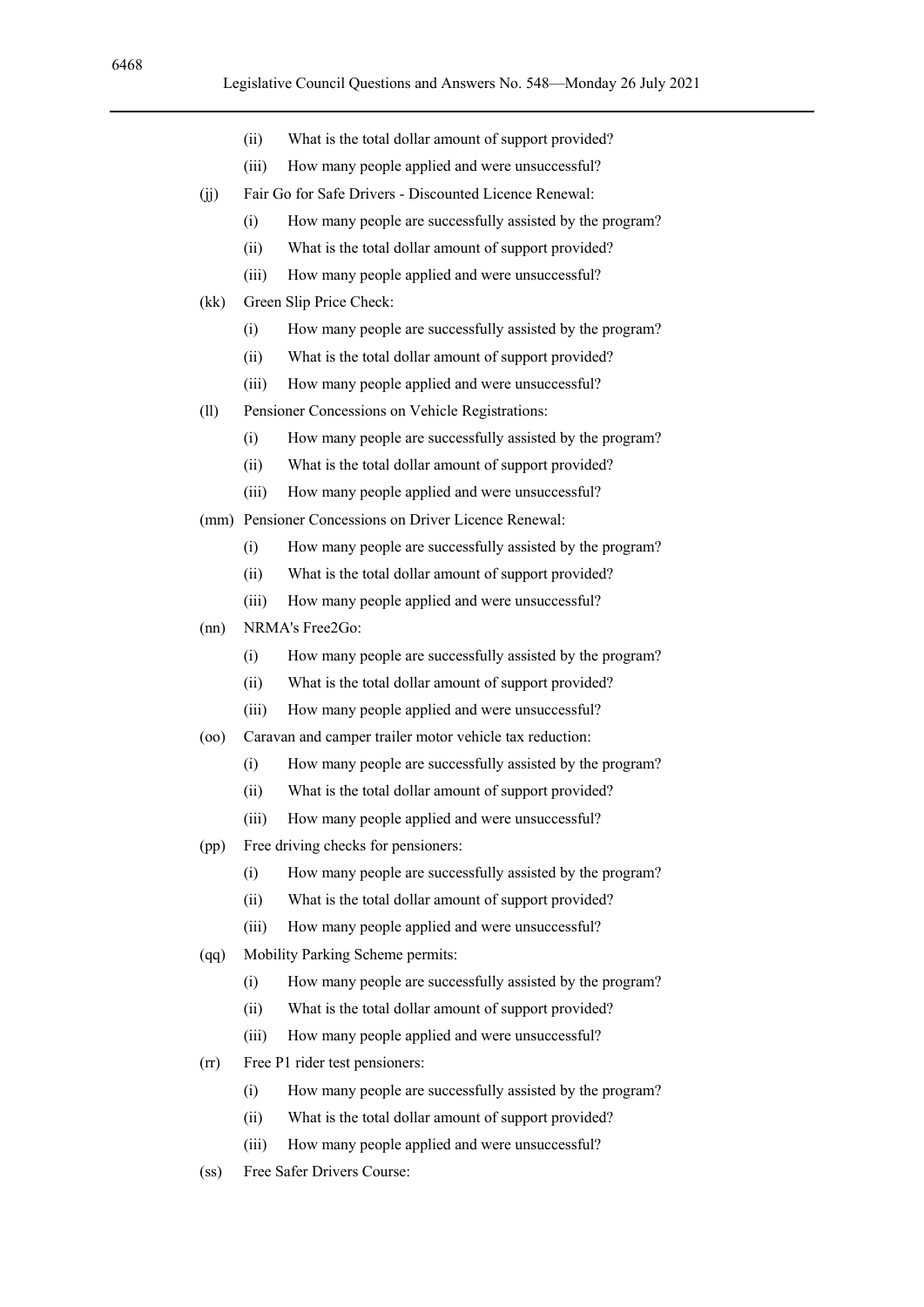- (ii) What is the total dollar amount of support provided?
- (iii) How many people applied and were unsuccessful?
- (jj) Fair Go for Safe Drivers Discounted Licence Renewal:
	- (i) How many people are successfully assisted by the program?
	- (ii) What is the total dollar amount of support provided?
	- (iii) How many people applied and were unsuccessful?
- (kk) Green Slip Price Check:
	- (i) How many people are successfully assisted by the program?
	- (ii) What is the total dollar amount of support provided?
	- (iii) How many people applied and were unsuccessful?
- (ll) Pensioner Concessions on Vehicle Registrations:
	- (i) How many people are successfully assisted by the program?
	- (ii) What is the total dollar amount of support provided?
	- (iii) How many people applied and were unsuccessful?
- (mm) Pensioner Concessions on Driver Licence Renewal:
	- (i) How many people are successfully assisted by the program?
	- (ii) What is the total dollar amount of support provided?
	- (iii) How many people applied and were unsuccessful?
- (nn) NRMA's Free2Go:
	- (i) How many people are successfully assisted by the program?
	- (ii) What is the total dollar amount of support provided?
	- (iii) How many people applied and were unsuccessful?
- (oo) Caravan and camper trailer motor vehicle tax reduction:
	- (i) How many people are successfully assisted by the program?
	- (ii) What is the total dollar amount of support provided?
	- (iii) How many people applied and were unsuccessful?
- (pp) Free driving checks for pensioners:
	- (i) How many people are successfully assisted by the program?
	- (ii) What is the total dollar amount of support provided?
	- (iii) How many people applied and were unsuccessful?
- (qq) Mobility Parking Scheme permits:
	- (i) How many people are successfully assisted by the program?
	- (ii) What is the total dollar amount of support provided?
	- (iii) How many people applied and were unsuccessful?
- (rr) Free P1 rider test pensioners:
	- (i) How many people are successfully assisted by the program?
	- (ii) What is the total dollar amount of support provided?
	- (iii) How many people applied and were unsuccessful?
- (ss) Free Safer Drivers Course: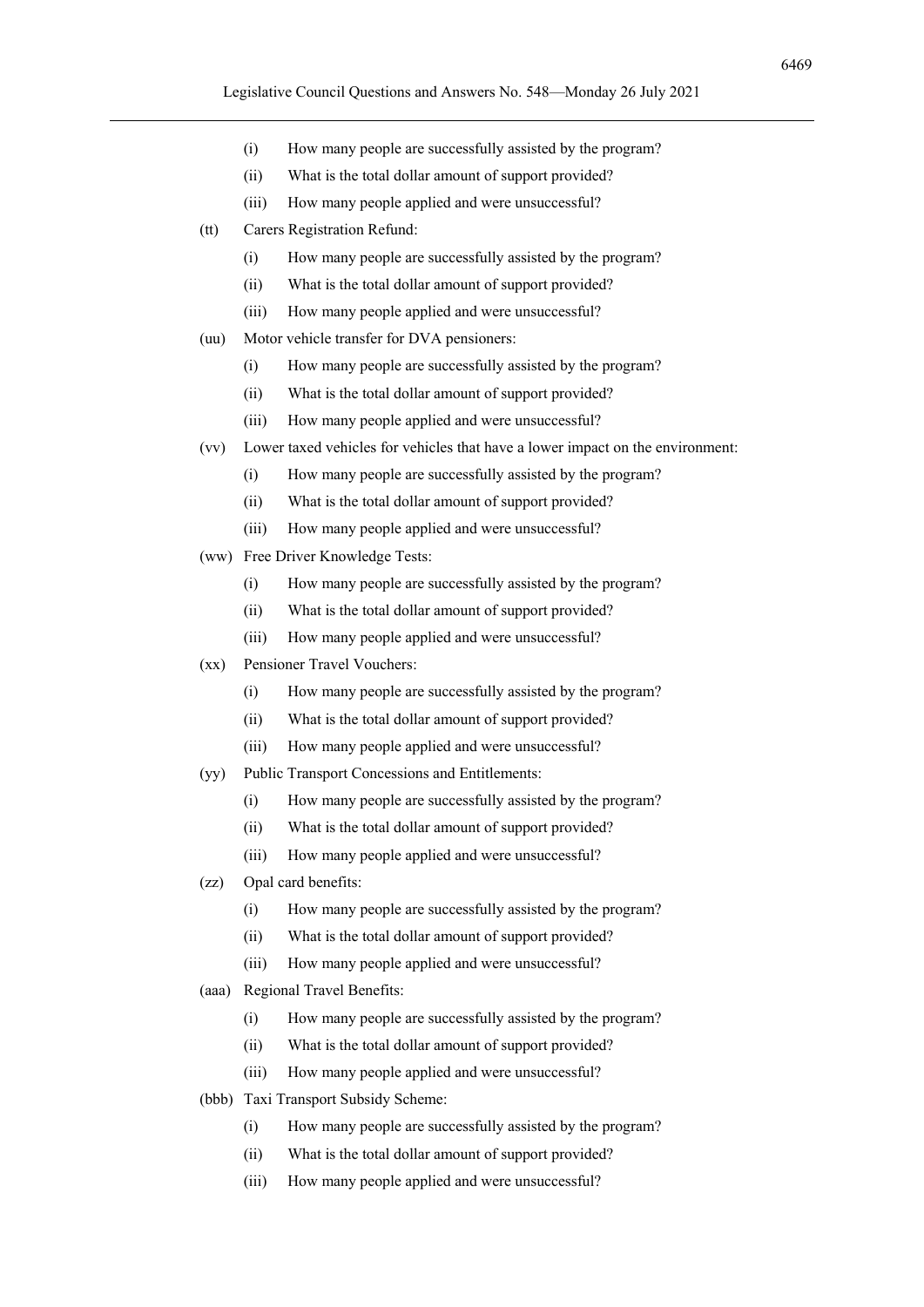- (i) How many people are successfully assisted by the program?
- (ii) What is the total dollar amount of support provided?
- (iii) How many people applied and were unsuccessful?
- (tt) Carers Registration Refund:
	- (i) How many people are successfully assisted by the program?
	- (ii) What is the total dollar amount of support provided?
	- (iii) How many people applied and were unsuccessful?
- (uu) Motor vehicle transfer for DVA pensioners:
	- (i) How many people are successfully assisted by the program?
	- (ii) What is the total dollar amount of support provided?
	- (iii) How many people applied and were unsuccessful?
- (vv) Lower taxed vehicles for vehicles that have a lower impact on the environment:
	- (i) How many people are successfully assisted by the program?
	- (ii) What is the total dollar amount of support provided?
	- (iii) How many people applied and were unsuccessful?
- (ww) Free Driver Knowledge Tests:
	- (i) How many people are successfully assisted by the program?
	- (ii) What is the total dollar amount of support provided?
	- (iii) How many people applied and were unsuccessful?
- (xx) Pensioner Travel Vouchers:
	- (i) How many people are successfully assisted by the program?
	- (ii) What is the total dollar amount of support provided?
	- (iii) How many people applied and were unsuccessful?
- (yy) Public Transport Concessions and Entitlements:
	- (i) How many people are successfully assisted by the program?
	- (ii) What is the total dollar amount of support provided?
	- (iii) How many people applied and were unsuccessful?
- (zz) Opal card benefits:
	- (i) How many people are successfully assisted by the program?
	- (ii) What is the total dollar amount of support provided?
	- (iii) How many people applied and were unsuccessful?
- (aaa) Regional Travel Benefits:
	- (i) How many people are successfully assisted by the program?
	- (ii) What is the total dollar amount of support provided?
	- (iii) How many people applied and were unsuccessful?
- (bbb) Taxi Transport Subsidy Scheme:
	- (i) How many people are successfully assisted by the program?
	- (ii) What is the total dollar amount of support provided?
	- (iii) How many people applied and were unsuccessful?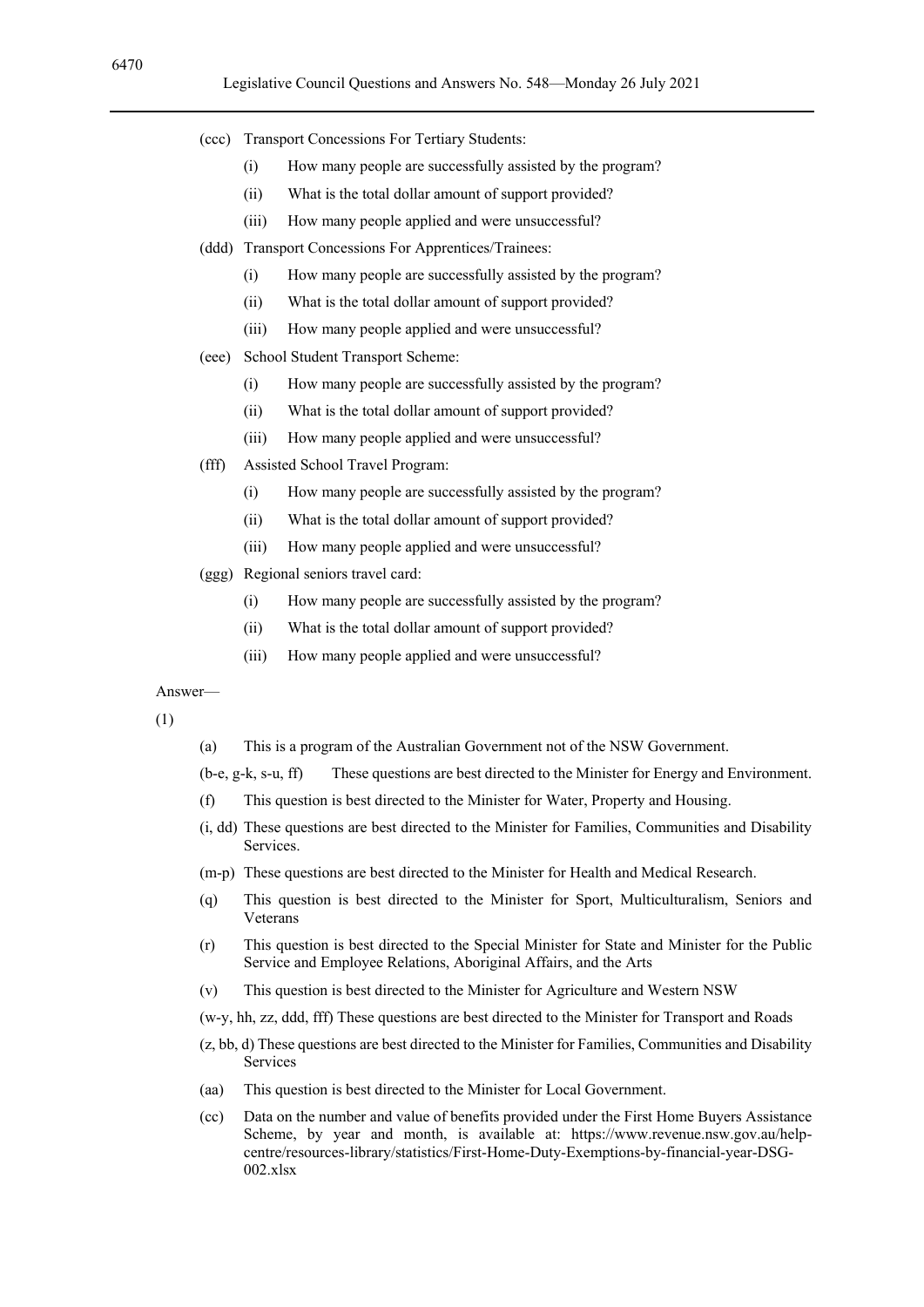- (ccc) Transport Concessions For Tertiary Students:
	- (i) How many people are successfully assisted by the program?
	- (ii) What is the total dollar amount of support provided?
	- (iii) How many people applied and were unsuccessful?
- (ddd) Transport Concessions For Apprentices/Trainees:
	- (i) How many people are successfully assisted by the program?
	- (ii) What is the total dollar amount of support provided?
	- (iii) How many people applied and were unsuccessful?
- (eee) School Student Transport Scheme:
	- (i) How many people are successfully assisted by the program?
	- (ii) What is the total dollar amount of support provided?
	- (iii) How many people applied and were unsuccessful?
- (fff) Assisted School Travel Program:
	- (i) How many people are successfully assisted by the program?
	- (ii) What is the total dollar amount of support provided?
	- (iii) How many people applied and were unsuccessful?
- (ggg) Regional seniors travel card:
	- (i) How many people are successfully assisted by the program?
	- (ii) What is the total dollar amount of support provided?
	- (iii) How many people applied and were unsuccessful?

(1)

(a) This is a program of the Australian Government not of the NSW Government.

(b-e, g-k, s-u, ff) These questions are best directed to the Minister for Energy and Environment.

- (f) This question is best directed to the Minister for Water, Property and Housing.
- (i, dd) These questions are best directed to the Minister for Families, Communities and Disability Services.
- (m-p) These questions are best directed to the Minister for Health and Medical Research.
- (q) This question is best directed to the Minister for Sport, Multiculturalism, Seniors and Veterans
- (r) This question is best directed to the Special Minister for State and Minister for the Public Service and Employee Relations, Aboriginal Affairs, and the Arts
- (v) This question is best directed to the Minister for Agriculture and Western NSW

(w-y, hh, zz, ddd, fff) These questions are best directed to the Minister for Transport and Roads

- (z, bb, d) These questions are best directed to the Minister for Families, Communities and Disability Services
- (aa) This question is best directed to the Minister for Local Government.
- (cc) Data on the number and value of benefits provided under the First Home Buyers Assistance Scheme, by year and month, is available at: https://www.revenue.nsw.gov.au/helpcentre/resources-library/statistics/First-Home-Duty-Exemptions-by-financial-year-DSG- $002.x$ lsx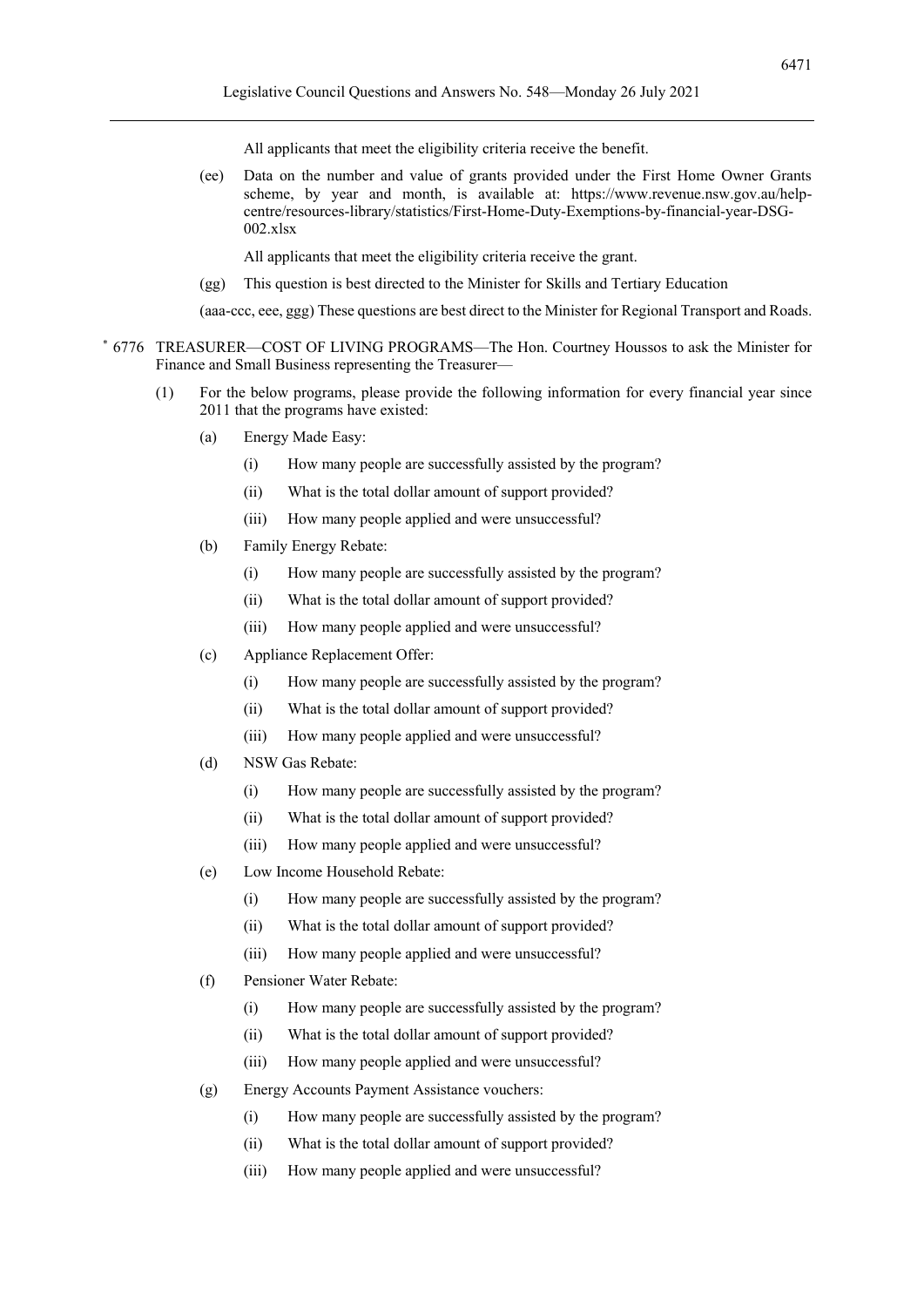All applicants that meet the eligibility criteria receive the benefit.

(ee) Data on the number and value of grants provided under the First Home Owner Grants scheme, by year and month, is available at: https://www.revenue.nsw.gov.au/helpcentre/resources-library/statistics/First-Home-Duty-Exemptions-by-financial-year-DSG-002.xlsx

All applicants that meet the eligibility criteria receive the grant.

(gg) This question is best directed to the Minister for Skills and Tertiary Education

(aaa-ccc, eee, ggg) These questions are best direct to the Minister for Regional Transport and Roads.

- \* 6776 TREASURER—COST OF LIVING PROGRAMS—The Hon. Courtney Houssos to ask the Minister for Finance and Small Business representing the Treasurer—
	- (1) For the below programs, please provide the following information for every financial year since 2011 that the programs have existed:
		- (a) Energy Made Easy:
			- (i) How many people are successfully assisted by the program?
			- (ii) What is the total dollar amount of support provided?
			- (iii) How many people applied and were unsuccessful?
		- (b) Family Energy Rebate:
			- (i) How many people are successfully assisted by the program?
			- (ii) What is the total dollar amount of support provided?
			- (iii) How many people applied and were unsuccessful?
		- (c) Appliance Replacement Offer:
			- (i) How many people are successfully assisted by the program?
			- (ii) What is the total dollar amount of support provided?
			- (iii) How many people applied and were unsuccessful?
		- (d) NSW Gas Rebate:
			- (i) How many people are successfully assisted by the program?
			- (ii) What is the total dollar amount of support provided?
			- (iii) How many people applied and were unsuccessful?
		- (e) Low Income Household Rebate:
			- (i) How many people are successfully assisted by the program?
			- (ii) What is the total dollar amount of support provided?
			- (iii) How many people applied and were unsuccessful?
		- (f) Pensioner Water Rebate:
			- (i) How many people are successfully assisted by the program?
			- (ii) What is the total dollar amount of support provided?
			- (iii) How many people applied and were unsuccessful?
		- (g) Energy Accounts Payment Assistance vouchers:
			- (i) How many people are successfully assisted by the program?
			- (ii) What is the total dollar amount of support provided?
			- (iii) How many people applied and were unsuccessful?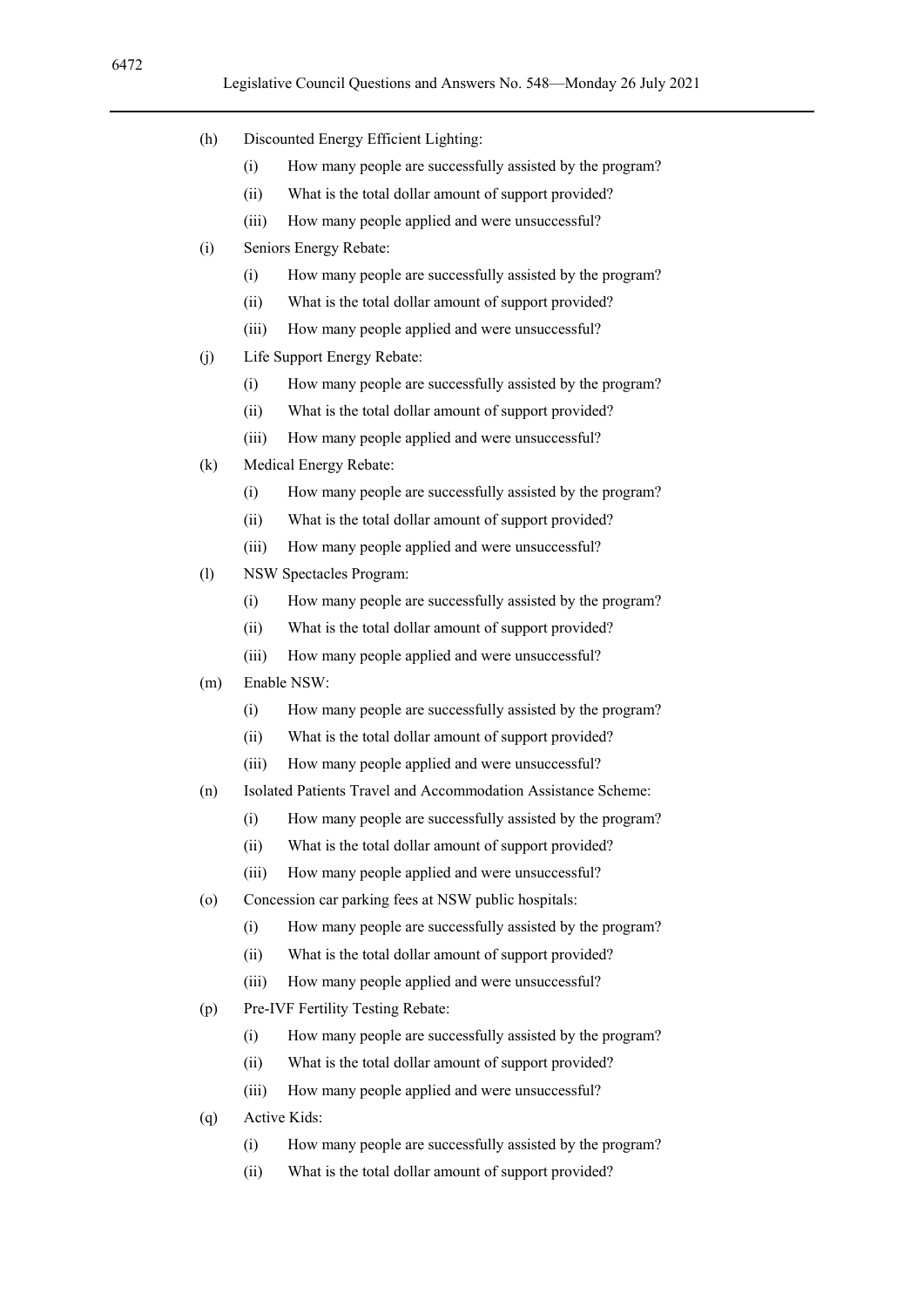- (h) Discounted Energy Efficient Lighting:
	- (i) How many people are successfully assisted by the program?
	- (ii) What is the total dollar amount of support provided?
	- (iii) How many people applied and were unsuccessful?
- (i) Seniors Energy Rebate:
	- (i) How many people are successfully assisted by the program?
	- (ii) What is the total dollar amount of support provided?
	- (iii) How many people applied and were unsuccessful?
- (j) Life Support Energy Rebate:
	- (i) How many people are successfully assisted by the program?
	- (ii) What is the total dollar amount of support provided?
	- (iii) How many people applied and were unsuccessful?
- (k) Medical Energy Rebate:
	- (i) How many people are successfully assisted by the program?
	- (ii) What is the total dollar amount of support provided?
	- (iii) How many people applied and were unsuccessful?
- (l) NSW Spectacles Program:
	- (i) How many people are successfully assisted by the program?
	- (ii) What is the total dollar amount of support provided?
	- (iii) How many people applied and were unsuccessful?
- (m) Enable NSW:
	- (i) How many people are successfully assisted by the program?
	- (ii) What is the total dollar amount of support provided?
	- (iii) How many people applied and were unsuccessful?
- (n) Isolated Patients Travel and Accommodation Assistance Scheme:
	- (i) How many people are successfully assisted by the program?
	- (ii) What is the total dollar amount of support provided?
	- (iii) How many people applied and were unsuccessful?
- (o) Concession car parking fees at NSW public hospitals:
	- (i) How many people are successfully assisted by the program?
	- (ii) What is the total dollar amount of support provided?
	- (iii) How many people applied and were unsuccessful?
- (p) Pre-IVF Fertility Testing Rebate:
	- (i) How many people are successfully assisted by the program?
	- (ii) What is the total dollar amount of support provided?
	- (iii) How many people applied and were unsuccessful?
- (q) Active Kids:
	- (i) How many people are successfully assisted by the program?
	- (ii) What is the total dollar amount of support provided?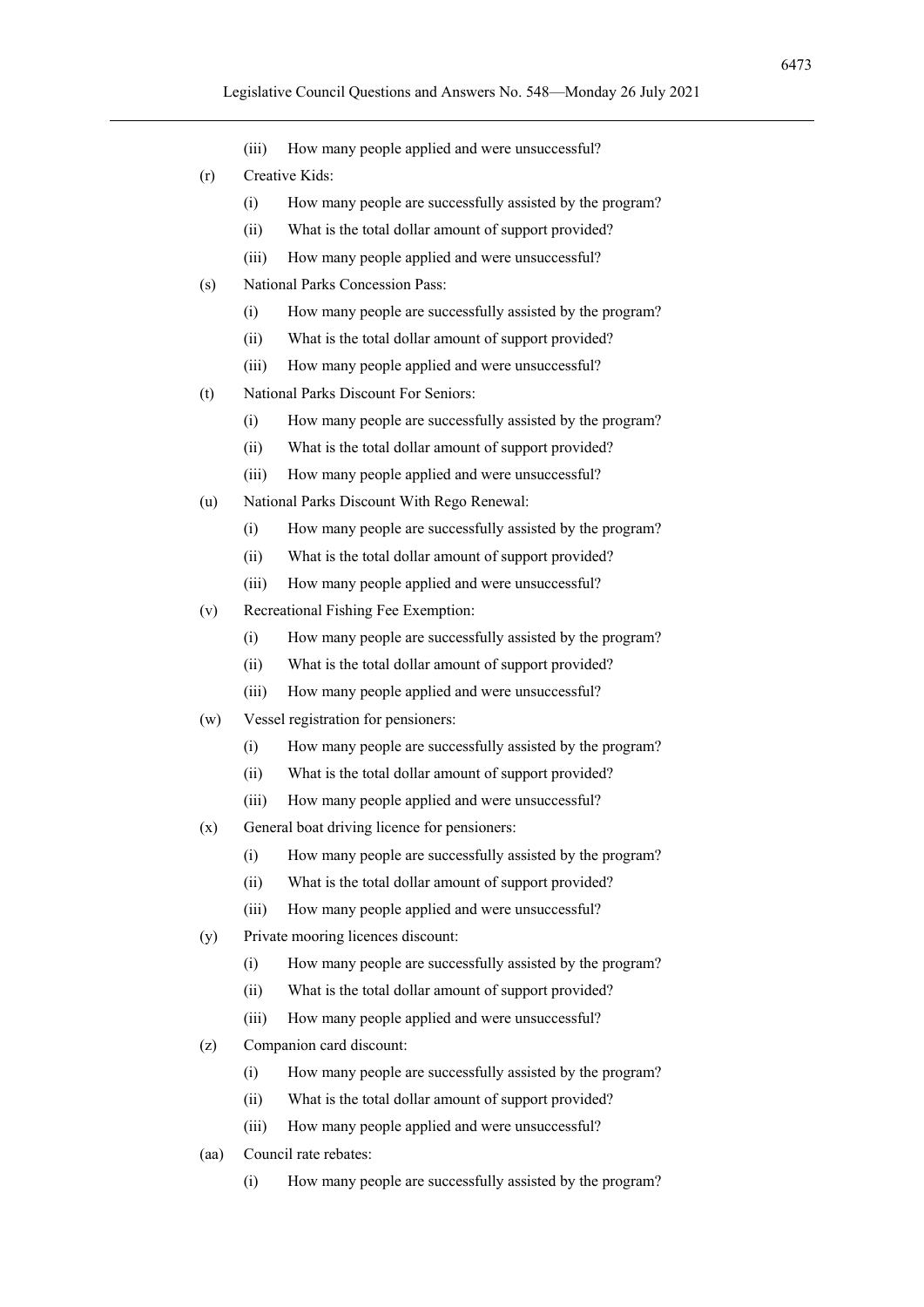6473

- (iii) How many people applied and were unsuccessful?
- (r) Creative Kids:
	- (i) How many people are successfully assisted by the program?
	- (ii) What is the total dollar amount of support provided?
	- (iii) How many people applied and were unsuccessful?
- (s) National Parks Concession Pass:
	- (i) How many people are successfully assisted by the program?
	- (ii) What is the total dollar amount of support provided?
	- (iii) How many people applied and were unsuccessful?
- (t) National Parks Discount For Seniors:
	- (i) How many people are successfully assisted by the program?
	- (ii) What is the total dollar amount of support provided?
	- (iii) How many people applied and were unsuccessful?
- (u) National Parks Discount With Rego Renewal:
	- (i) How many people are successfully assisted by the program?
	- (ii) What is the total dollar amount of support provided?
	- (iii) How many people applied and were unsuccessful?
- (v) Recreational Fishing Fee Exemption:
	- (i) How many people are successfully assisted by the program?
	- (ii) What is the total dollar amount of support provided?
	- (iii) How many people applied and were unsuccessful?
- (w) Vessel registration for pensioners:
	- (i) How many people are successfully assisted by the program?
	- (ii) What is the total dollar amount of support provided?
	- (iii) How many people applied and were unsuccessful?
- (x) General boat driving licence for pensioners:
	- (i) How many people are successfully assisted by the program?
	- (ii) What is the total dollar amount of support provided?
	- (iii) How many people applied and were unsuccessful?
- (y) Private mooring licences discount:
	- (i) How many people are successfully assisted by the program?
	- (ii) What is the total dollar amount of support provided?
	- (iii) How many people applied and were unsuccessful?
- (z) Companion card discount:
	- (i) How many people are successfully assisted by the program?
	- (ii) What is the total dollar amount of support provided?
	- (iii) How many people applied and were unsuccessful?
- (aa) Council rate rebates:
	- (i) How many people are successfully assisted by the program?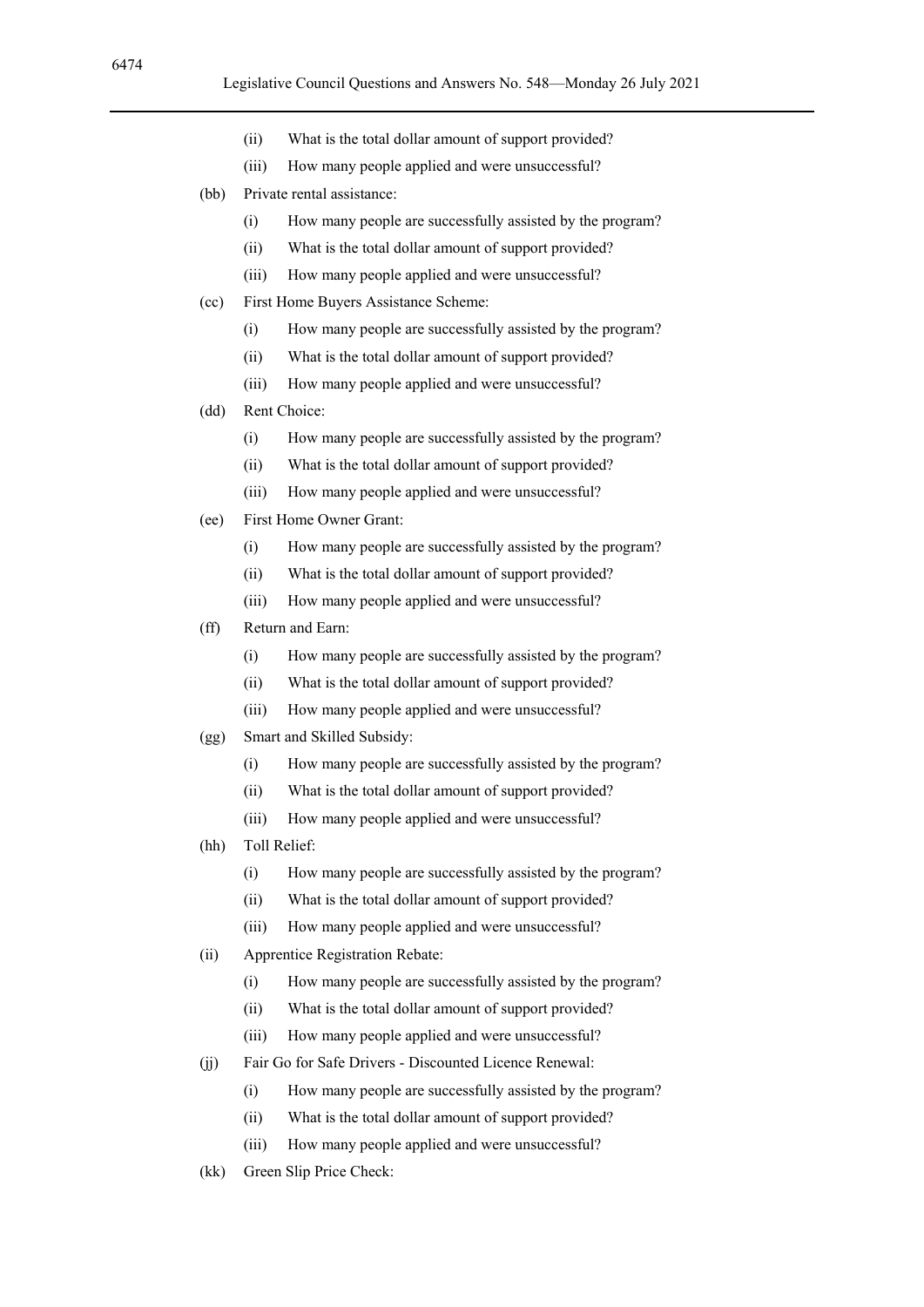- (ii) What is the total dollar amount of support provided?
- (iii) How many people applied and were unsuccessful?
- (bb) Private rental assistance:
	- (i) How many people are successfully assisted by the program?
	- (ii) What is the total dollar amount of support provided?
	- (iii) How many people applied and were unsuccessful?
- (cc) First Home Buyers Assistance Scheme:
	- (i) How many people are successfully assisted by the program?
	- (ii) What is the total dollar amount of support provided?
	- (iii) How many people applied and were unsuccessful?
- (dd) Rent Choice:
	- (i) How many people are successfully assisted by the program?
	- (ii) What is the total dollar amount of support provided?
	- (iii) How many people applied and were unsuccessful?
- (ee) First Home Owner Grant:
	- (i) How many people are successfully assisted by the program?
	- (ii) What is the total dollar amount of support provided?
	- (iii) How many people applied and were unsuccessful?

#### (ff) Return and Earn:

- (i) How many people are successfully assisted by the program?
- (ii) What is the total dollar amount of support provided?
- (iii) How many people applied and were unsuccessful?
- (gg) Smart and Skilled Subsidy:
	- (i) How many people are successfully assisted by the program?
	- (ii) What is the total dollar amount of support provided?
	- (iii) How many people applied and were unsuccessful?
- (hh) Toll Relief:
	- (i) How many people are successfully assisted by the program?
	- (ii) What is the total dollar amount of support provided?
	- (iii) How many people applied and were unsuccessful?
- (ii) Apprentice Registration Rebate:
	- (i) How many people are successfully assisted by the program?
	- (ii) What is the total dollar amount of support provided?
	- (iii) How many people applied and were unsuccessful?
- (jj) Fair Go for Safe Drivers Discounted Licence Renewal:
	- (i) How many people are successfully assisted by the program?
	- (ii) What is the total dollar amount of support provided?
	- (iii) How many people applied and were unsuccessful?
- (kk) Green Slip Price Check: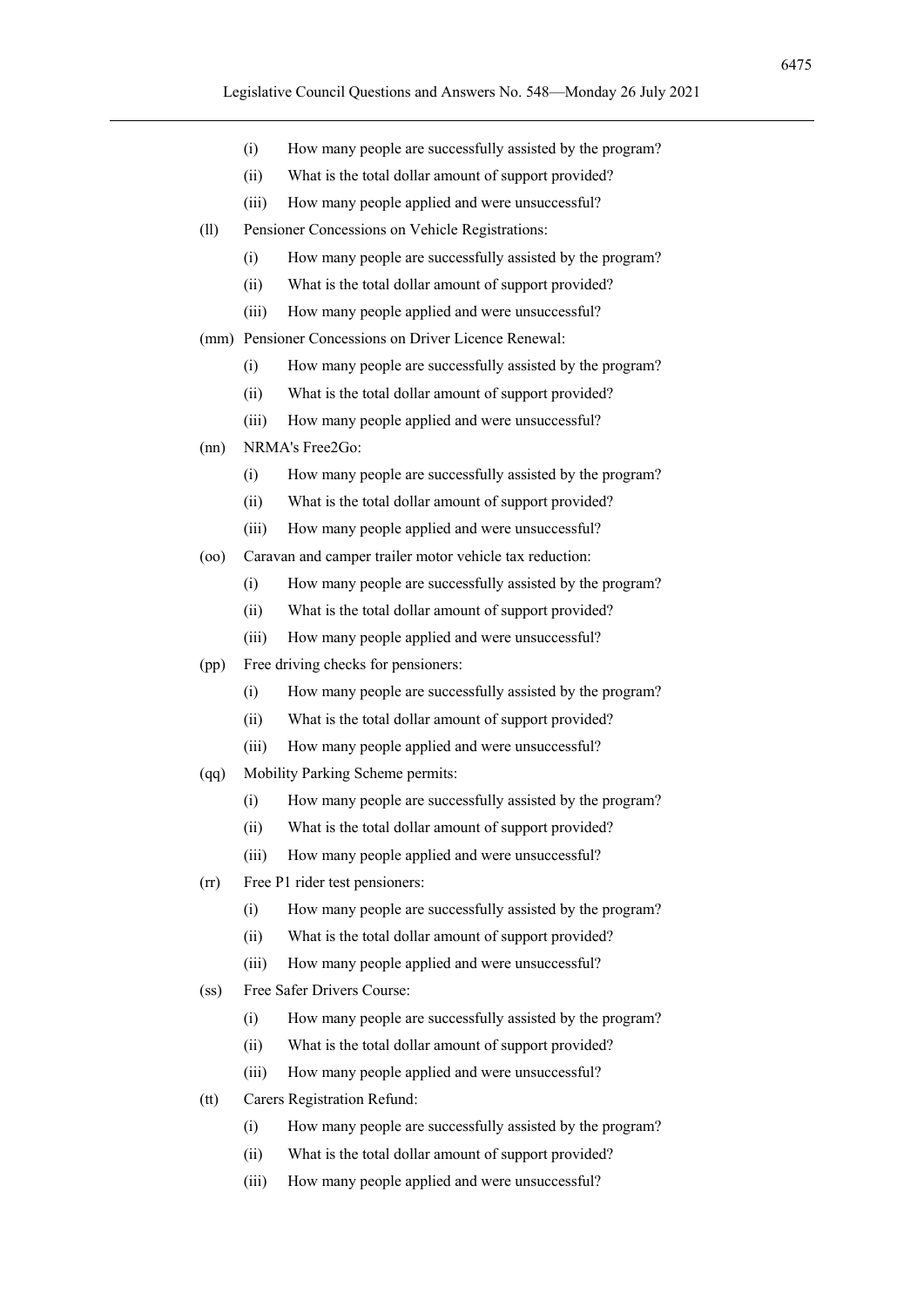6475

- (i) How many people are successfully assisted by the program?
- (ii) What is the total dollar amount of support provided?
- (iii) How many people applied and were unsuccessful?
- (ll) Pensioner Concessions on Vehicle Registrations:
	- (i) How many people are successfully assisted by the program?
	- (ii) What is the total dollar amount of support provided?
	- (iii) How many people applied and were unsuccessful?
- (mm) Pensioner Concessions on Driver Licence Renewal:
	- (i) How many people are successfully assisted by the program?
	- (ii) What is the total dollar amount of support provided?
	- (iii) How many people applied and were unsuccessful?
- (nn) NRMA's Free2Go:
	- (i) How many people are successfully assisted by the program?
	- (ii) What is the total dollar amount of support provided?
	- (iii) How many people applied and were unsuccessful?
- (oo) Caravan and camper trailer motor vehicle tax reduction:
	- (i) How many people are successfully assisted by the program?
	- (ii) What is the total dollar amount of support provided?
	- (iii) How many people applied and were unsuccessful?
- (pp) Free driving checks for pensioners:
	- (i) How many people are successfully assisted by the program?
	- (ii) What is the total dollar amount of support provided?
	- (iii) How many people applied and were unsuccessful?
- (qq) Mobility Parking Scheme permits:
	- (i) How many people are successfully assisted by the program?
	- (ii) What is the total dollar amount of support provided?
	- (iii) How many people applied and were unsuccessful?
- (rr) Free P1 rider test pensioners:
	- (i) How many people are successfully assisted by the program?
	- (ii) What is the total dollar amount of support provided?
	- (iii) How many people applied and were unsuccessful?
- (ss) Free Safer Drivers Course:
	- (i) How many people are successfully assisted by the program?
	- (ii) What is the total dollar amount of support provided?
	- (iii) How many people applied and were unsuccessful?
- (tt) Carers Registration Refund:
	- (i) How many people are successfully assisted by the program?
	- (ii) What is the total dollar amount of support provided?
	- (iii) How many people applied and were unsuccessful?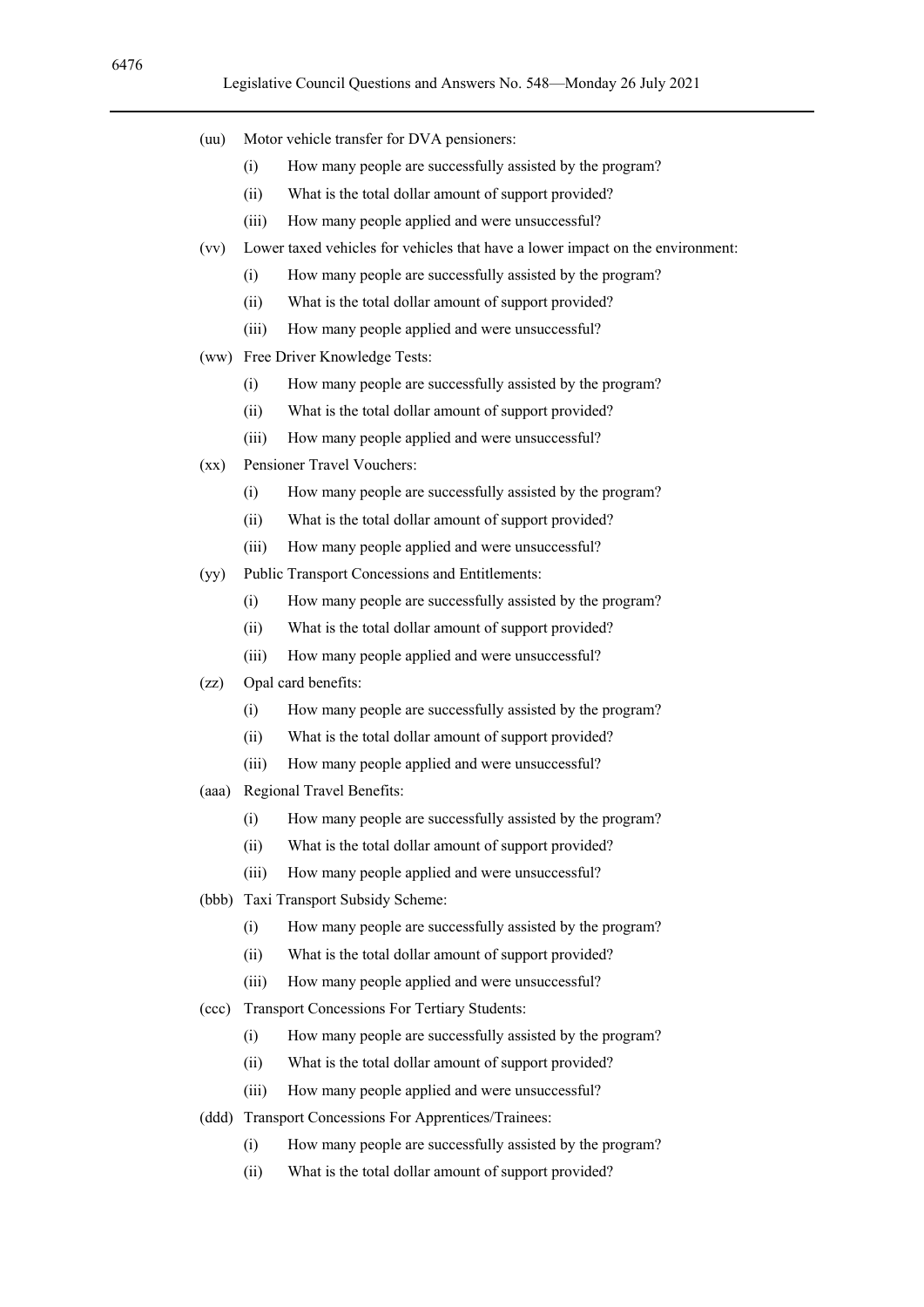- (uu) Motor vehicle transfer for DVA pensioners:
	- (i) How many people are successfully assisted by the program?
	- (ii) What is the total dollar amount of support provided?
	- (iii) How many people applied and were unsuccessful?
- (vv) Lower taxed vehicles for vehicles that have a lower impact on the environment:
	- (i) How many people are successfully assisted by the program?
	- (ii) What is the total dollar amount of support provided?
	- (iii) How many people applied and were unsuccessful?
- (ww) Free Driver Knowledge Tests:
	- (i) How many people are successfully assisted by the program?
	- (ii) What is the total dollar amount of support provided?
	- (iii) How many people applied and were unsuccessful?
- (xx) Pensioner Travel Vouchers:
	- (i) How many people are successfully assisted by the program?
	- (ii) What is the total dollar amount of support provided?
	- (iii) How many people applied and were unsuccessful?
- (yy) Public Transport Concessions and Entitlements:
	- (i) How many people are successfully assisted by the program?
	- (ii) What is the total dollar amount of support provided?
	- (iii) How many people applied and were unsuccessful?
- (zz) Opal card benefits:
	- (i) How many people are successfully assisted by the program?
	- (ii) What is the total dollar amount of support provided?
	- (iii) How many people applied and were unsuccessful?
- (aaa) Regional Travel Benefits:
	- (i) How many people are successfully assisted by the program?
	- (ii) What is the total dollar amount of support provided?
	- (iii) How many people applied and were unsuccessful?
- (bbb) Taxi Transport Subsidy Scheme:
	- (i) How many people are successfully assisted by the program?
	- (ii) What is the total dollar amount of support provided?
	- (iii) How many people applied and were unsuccessful?
- (ccc) Transport Concessions For Tertiary Students:
	- (i) How many people are successfully assisted by the program?
	- (ii) What is the total dollar amount of support provided?
	- (iii) How many people applied and were unsuccessful?
- (ddd) Transport Concessions For Apprentices/Trainees:
	- (i) How many people are successfully assisted by the program?
	- (ii) What is the total dollar amount of support provided?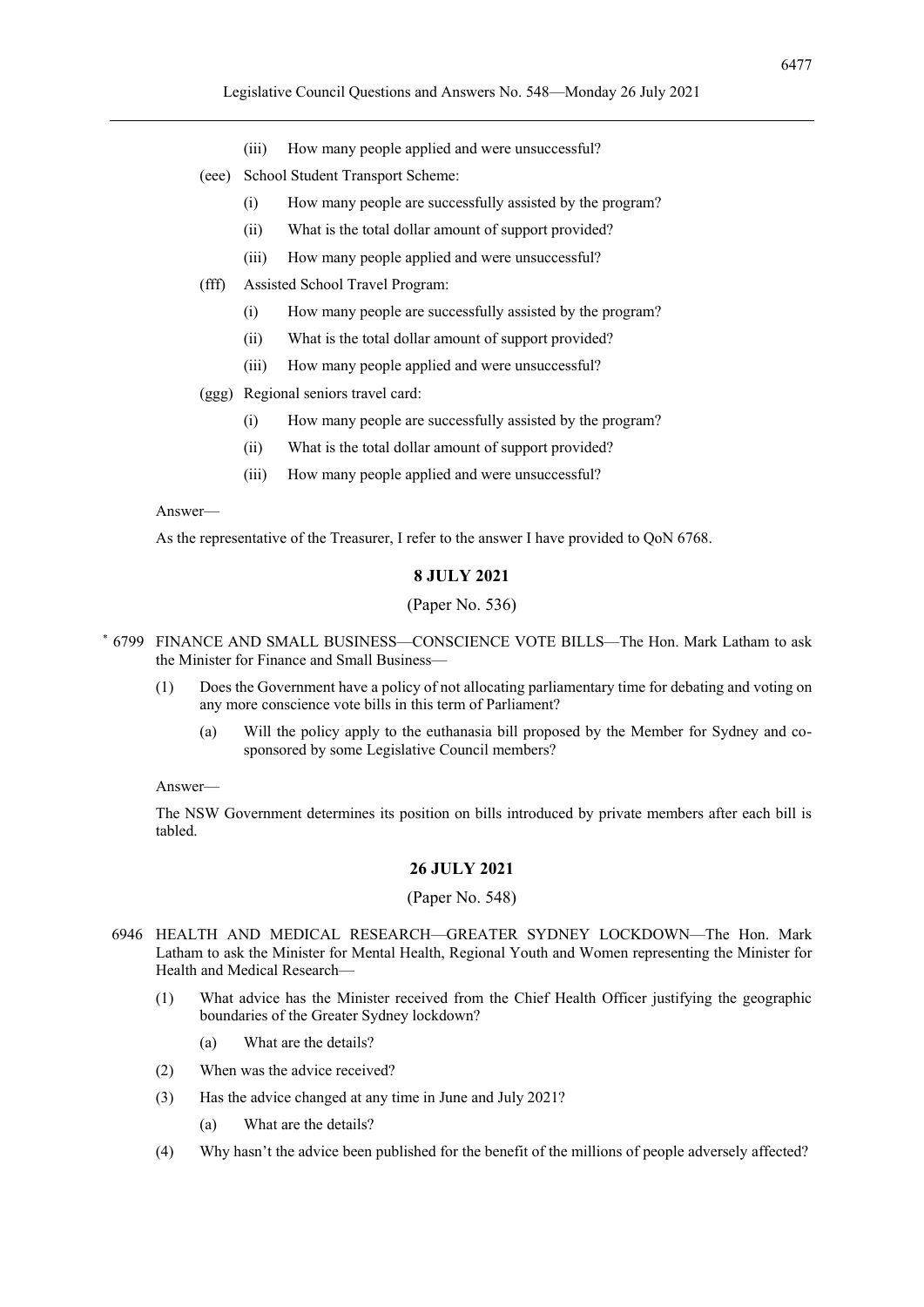- (iii) How many people applied and were unsuccessful?
- (eee) School Student Transport Scheme:
	- (i) How many people are successfully assisted by the program?
	- (ii) What is the total dollar amount of support provided?
	- (iii) How many people applied and were unsuccessful?
- (fff) Assisted School Travel Program:
	- (i) How many people are successfully assisted by the program?
	- (ii) What is the total dollar amount of support provided?
	- (iii) How many people applied and were unsuccessful?

(ggg) Regional seniors travel card:

- (i) How many people are successfully assisted by the program?
- (ii) What is the total dollar amount of support provided?
- (iii) How many people applied and were unsuccessful?

#### Answer—

As the representative of the Treasurer, I refer to the answer I have provided to QoN 6768.

#### **8 JULY 2021**

#### (Paper No. 536)

- \* 6799 FINANCE AND SMALL BUSINESS—CONSCIENCE VOTE BILLS—The Hon. Mark Latham to ask the Minister for Finance and Small Business—
	- (1) Does the Government have a policy of not allocating parliamentary time for debating and voting on any more conscience vote bills in this term of Parliament?
		- (a) Will the policy apply to the euthanasia bill proposed by the Member for Sydney and cosponsored by some Legislative Council members?

#### Answer—

The NSW Government determines its position on bills introduced by private members after each bill is tabled.

#### **26 JULY 2021**

#### (Paper No. 548)

- 6946 HEALTH AND MEDICAL RESEARCH—GREATER SYDNEY LOCKDOWN—The Hon. Mark Latham to ask the Minister for Mental Health, Regional Youth and Women representing the Minister for Health and Medical Research—
	- (1) What advice has the Minister received from the Chief Health Officer justifying the geographic boundaries of the Greater Sydney lockdown?
		- (a) What are the details?
	- (2) When was the advice received?
	- (3) Has the advice changed at any time in June and July 2021?
		- (a) What are the details?
	- (4) Why hasn't the advice been published for the benefit of the millions of people adversely affected?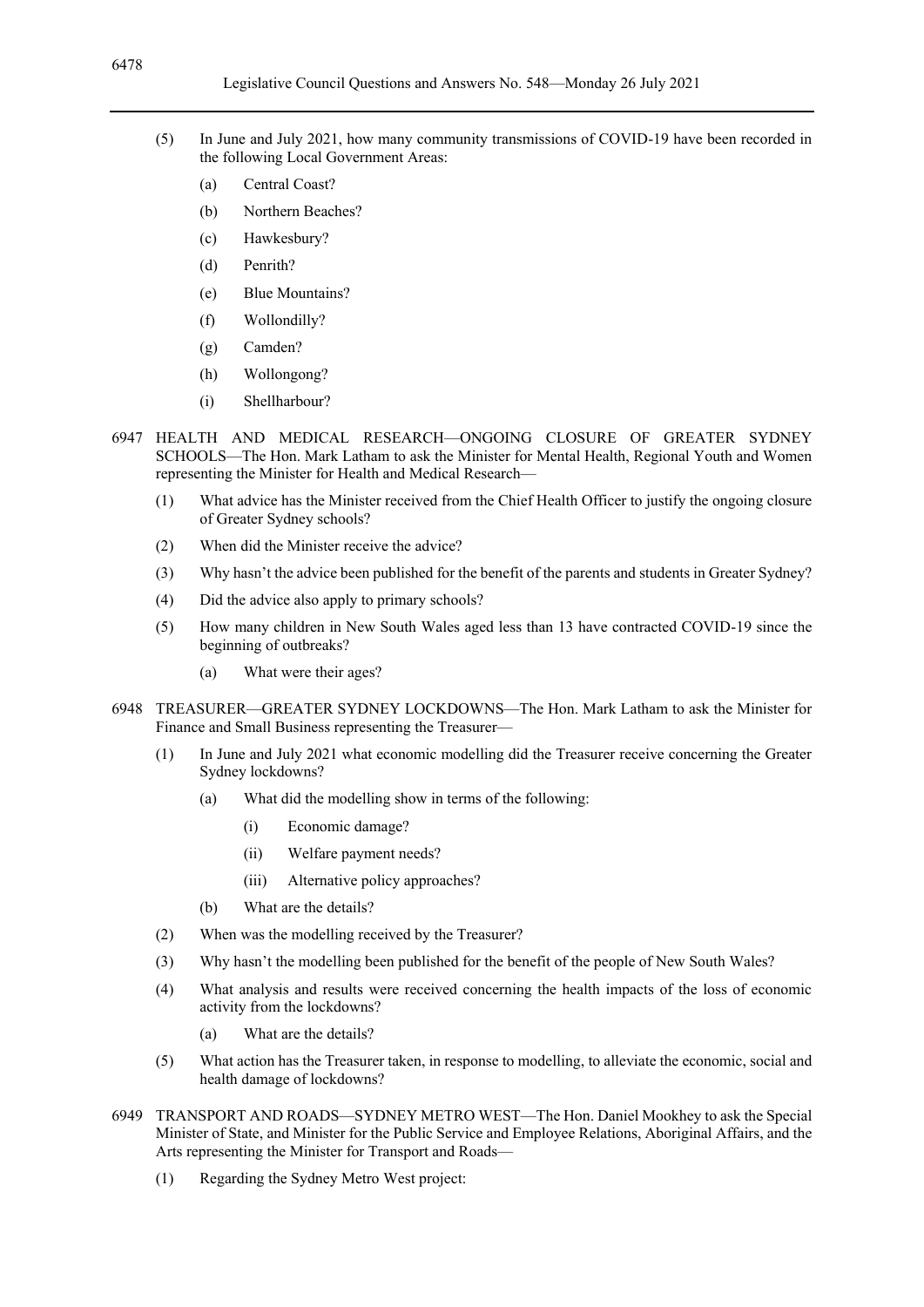- (5) In June and July 2021, how many community transmissions of COVID-19 have been recorded in the following Local Government Areas:
	- (a) Central Coast?
	- (b) Northern Beaches?
	- (c) Hawkesbury?
	- (d) Penrith?
	- (e) Blue Mountains?
	- (f) Wollondilly?
	- (g) Camden?
	- (h) Wollongong?
	- (i) Shellharbour?
- 6947 HEALTH AND MEDICAL RESEARCH—ONGOING CLOSURE OF GREATER SYDNEY SCHOOLS—The Hon. Mark Latham to ask the Minister for Mental Health, Regional Youth and Women representing the Minister for Health and Medical Research—
	- (1) What advice has the Minister received from the Chief Health Officer to justify the ongoing closure of Greater Sydney schools?
	- (2) When did the Minister receive the advice?
	- (3) Why hasn't the advice been published for the benefit of the parents and students in Greater Sydney?
	- (4) Did the advice also apply to primary schools?
	- (5) How many children in New South Wales aged less than 13 have contracted COVID-19 since the beginning of outbreaks?
		- (a) What were their ages?
- 6948 TREASURER—GREATER SYDNEY LOCKDOWNS—The Hon. Mark Latham to ask the Minister for Finance and Small Business representing the Treasurer—
	- (1) In June and July 2021 what economic modelling did the Treasurer receive concerning the Greater Sydney lockdowns?
		- (a) What did the modelling show in terms of the following:
			- (i) Economic damage?
			- (ii) Welfare payment needs?
			- (iii) Alternative policy approaches?
		- (b) What are the details?
	- (2) When was the modelling received by the Treasurer?
	- (3) Why hasn't the modelling been published for the benefit of the people of New South Wales?
	- (4) What analysis and results were received concerning the health impacts of the loss of economic activity from the lockdowns?
		- (a) What are the details?
	- (5) What action has the Treasurer taken, in response to modelling, to alleviate the economic, social and health damage of lockdowns?
- 6949 TRANSPORT AND ROADS—SYDNEY METRO WEST—The Hon. Daniel Mookhey to ask the Special Minister of State, and Minister for the Public Service and Employee Relations, Aboriginal Affairs, and the Arts representing the Minister for Transport and Roads—
	- (1) Regarding the Sydney Metro West project: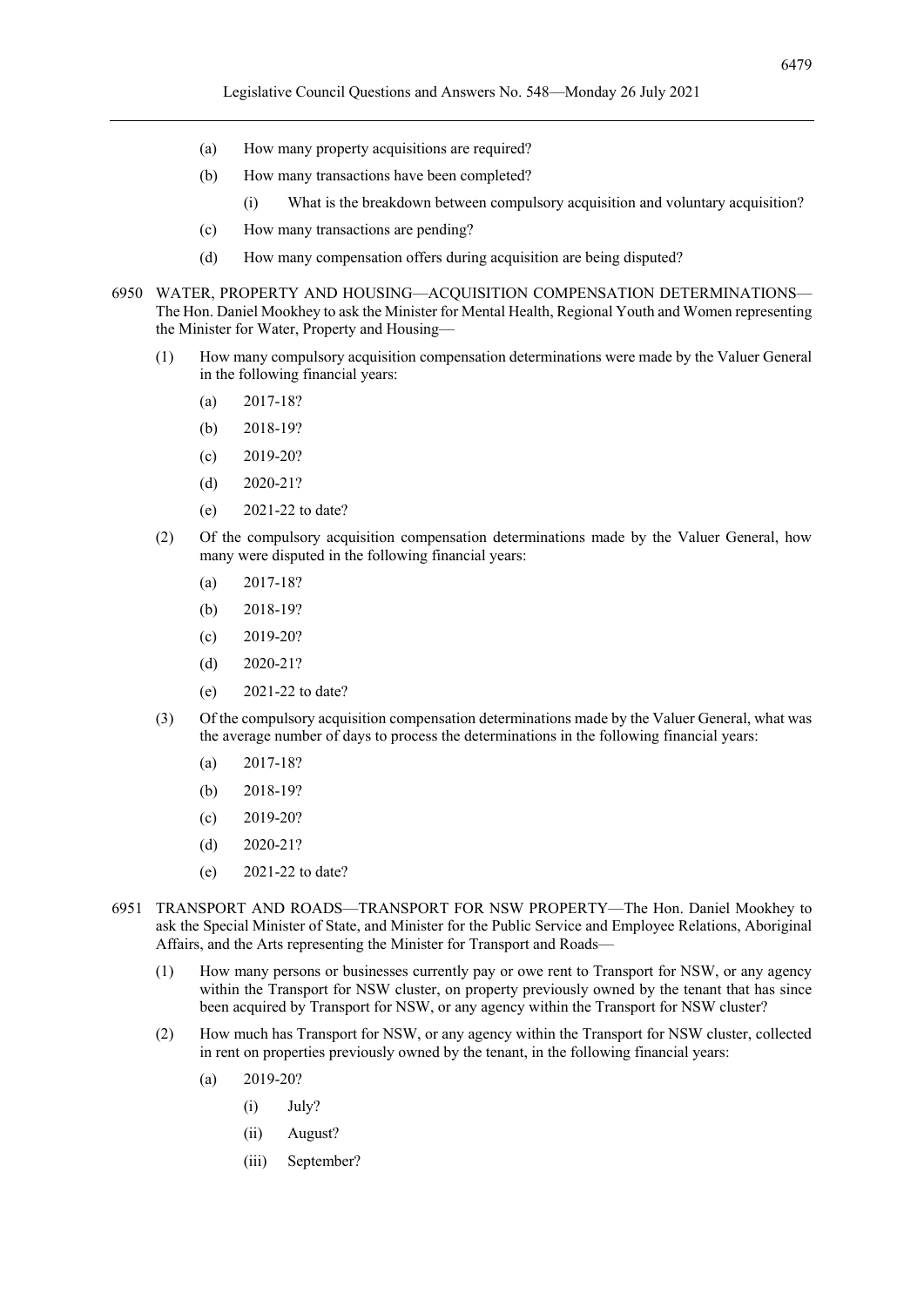- (a) How many property acquisitions are required?
- (b) How many transactions have been completed?
	- (i) What is the breakdown between compulsory acquisition and voluntary acquisition?
- (c) How many transactions are pending?
- (d) How many compensation offers during acquisition are being disputed?
- 6950 WATER, PROPERTY AND HOUSING—ACQUISITION COMPENSATION DETERMINATIONS— The Hon. Daniel Mookhey to ask the Minister for Mental Health, Regional Youth and Women representing the Minister for Water, Property and Housing—
	- (1) How many compulsory acquisition compensation determinations were made by the Valuer General in the following financial years:
		- (a) 2017-18?
		- (b) 2018-19?
		- (c) 2019-20?
		- (d) 2020-21?
		- (e) 2021-22 to date?
	- (2) Of the compulsory acquisition compensation determinations made by the Valuer General, how many were disputed in the following financial years:
		- (a) 2017-18?
		- (b) 2018-19?
		- (c) 2019-20?
		- (d) 2020-21?
		- (e) 2021-22 to date?
	- (3) Of the compulsory acquisition compensation determinations made by the Valuer General, what was the average number of days to process the determinations in the following financial years:
		- (a) 2017-18?
		- (b) 2018-19?
		- $(c)$  2019-20?
		- (d) 2020-21?
		- (e) 2021-22 to date?
- 6951 TRANSPORT AND ROADS—TRANSPORT FOR NSW PROPERTY—The Hon. Daniel Mookhey to ask the Special Minister of State, and Minister for the Public Service and Employee Relations, Aboriginal Affairs, and the Arts representing the Minister for Transport and Roads—
	- (1) How many persons or businesses currently pay or owe rent to Transport for NSW, or any agency within the Transport for NSW cluster, on property previously owned by the tenant that has since been acquired by Transport for NSW, or any agency within the Transport for NSW cluster?
	- (2) How much has Transport for NSW, or any agency within the Transport for NSW cluster, collected in rent on properties previously owned by the tenant, in the following financial years:
		- (a) 2019-20?
			- (i) July?
			- (ii) August?
			- (iii) September?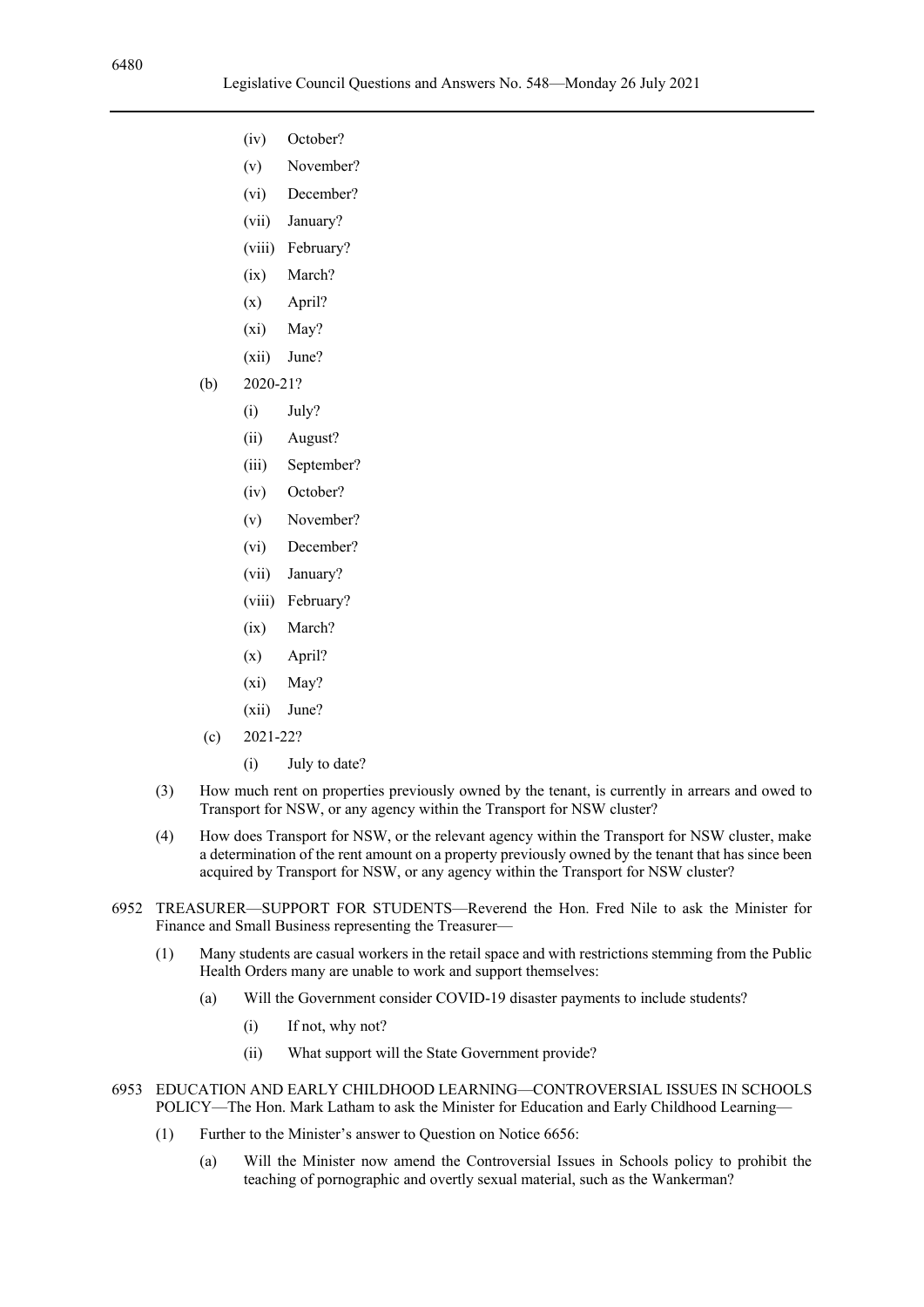- (iv) October?
- (v) November?
- (vi) December?
- (vii) January?
- (viii) February?
- (ix) March?
- (x) April?
- (xi) May?
- (xii) June?
- (b) 2020-21?
	- (i) July?
	- (ii) August?
	- (iii) September?
	- (iv) October?
	- (v) November?
	- (vi) December?
	- (vii) January?
	- (viii) February?
	- (ix) March?
	- (x) April?
	- (xi) May?
	- (xii) June?
- (c) 2021-22?
	- (i) July to date?
- (3) How much rent on properties previously owned by the tenant, is currently in arrears and owed to Transport for NSW, or any agency within the Transport for NSW cluster?
- (4) How does Transport for NSW, or the relevant agency within the Transport for NSW cluster, make a determination of the rent amount on a property previously owned by the tenant that has since been acquired by Transport for NSW, or any agency within the Transport for NSW cluster?
- 6952 TREASURER—SUPPORT FOR STUDENTS—Reverend the Hon. Fred Nile to ask the Minister for Finance and Small Business representing the Treasurer—
	- (1) Many students are casual workers in the retail space and with restrictions stemming from the Public Health Orders many are unable to work and support themselves:
		- (a) Will the Government consider COVID-19 disaster payments to include students?
			- (i) If not, why not?
			- (ii) What support will the State Government provide?
- 6953 EDUCATION AND EARLY CHILDHOOD LEARNING—CONTROVERSIAL ISSUES IN SCHOOLS POLICY—The Hon. Mark Latham to ask the Minister for Education and Early Childhood Learning—
	- (1) Further to the Minister's answer to Question on Notice 6656:
		- (a) Will the Minister now amend the Controversial Issues in Schools policy to prohibit the teaching of pornographic and overtly sexual material, such as the Wankerman?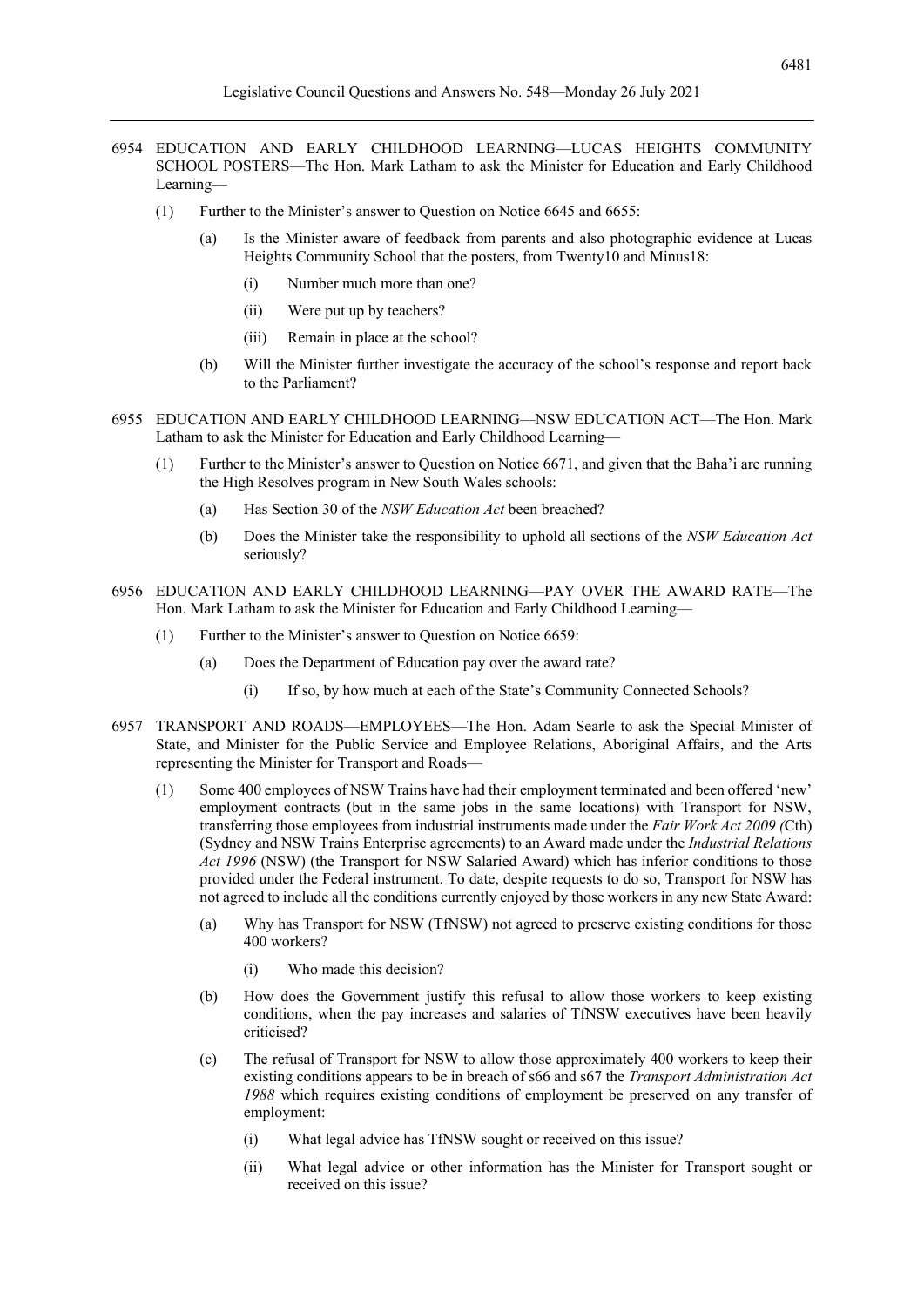- 6954 EDUCATION AND EARLY CHILDHOOD LEARNING—LUCAS HEIGHTS COMMUNITY SCHOOL POSTERS—The Hon. Mark Latham to ask the Minister for Education and Early Childhood Learning—
	- (1) Further to the Minister's answer to Question on Notice 6645 and 6655:
		- (a) Is the Minister aware of feedback from parents and also photographic evidence at Lucas Heights Community School that the posters, from Twenty10 and Minus18:
			- (i) Number much more than one?
			- (ii) Were put up by teachers?
			- (iii) Remain in place at the school?
		- (b) Will the Minister further investigate the accuracy of the school's response and report back to the Parliament?
- 6955 EDUCATION AND EARLY CHILDHOOD LEARNING—NSW EDUCATION ACT—The Hon. Mark Latham to ask the Minister for Education and Early Childhood Learning—
	- (1) Further to the Minister's answer to Question on Notice 6671, and given that the Baha'i are running the High Resolves program in New South Wales schools:
		- (a) Has Section 30 of the *NSW Education Act* been breached?
		- (b) Does the Minister take the responsibility to uphold all sections of the *NSW Education Act* seriously?
- 6956 EDUCATION AND EARLY CHILDHOOD LEARNING—PAY OVER THE AWARD RATE—The Hon. Mark Latham to ask the Minister for Education and Early Childhood Learning—
	- (1) Further to the Minister's answer to Question on Notice 6659:
		- (a) Does the Department of Education pay over the award rate?
			- (i) If so, by how much at each of the State's Community Connected Schools?
- 6957 TRANSPORT AND ROADS—EMPLOYEES—The Hon. Adam Searle to ask the Special Minister of State, and Minister for the Public Service and Employee Relations, Aboriginal Affairs, and the Arts representing the Minister for Transport and Roads—
	- (1) Some 400 employees of NSW Trains have had their employment terminated and been offered 'new' employment contracts (but in the same jobs in the same locations) with Transport for NSW, transferring those employees from industrial instruments made under the *Fair Work Act 2009 (*Cth) (Sydney and NSW Trains Enterprise agreements) to an Award made under the *Industrial Relations Act 1996* (NSW) (the Transport for NSW Salaried Award) which has inferior conditions to those provided under the Federal instrument. To date, despite requests to do so, Transport for NSW has not agreed to include all the conditions currently enjoyed by those workers in any new State Award:
		- (a) Why has Transport for NSW (TfNSW) not agreed to preserve existing conditions for those 400 workers?
			- (i) Who made this decision?
		- (b) How does the Government justify this refusal to allow those workers to keep existing conditions, when the pay increases and salaries of TfNSW executives have been heavily criticised?
		- (c) The refusal of Transport for NSW to allow those approximately 400 workers to keep their existing conditions appears to be in breach of s66 and s67 the *Transport Administration Act 1988* which requires existing conditions of employment be preserved on any transfer of employment:
			- (i) What legal advice has TfNSW sought or received on this issue?
			- (ii) What legal advice or other information has the Minister for Transport sought or received on this issue?